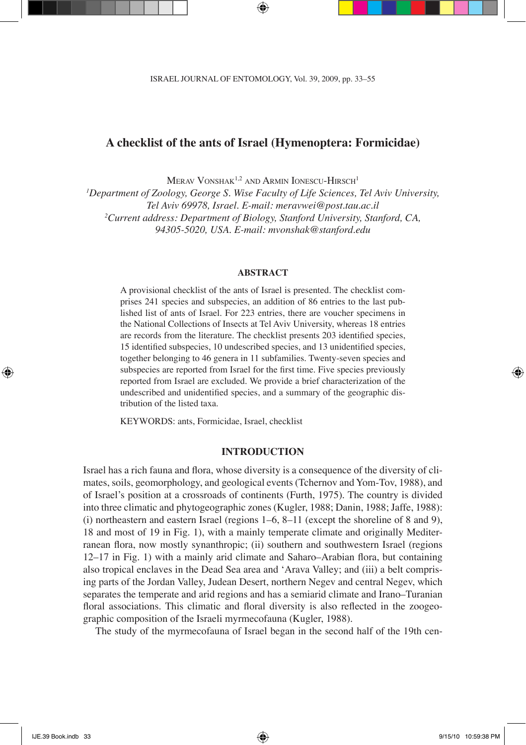# **A checklist of the ants of Israel (Hymenoptera: Formicidae)**

MERAV VONSHAK<sup>1,2</sup> AND ARMIN IONESCU-HIRSCH<sup>1</sup>

*1 Department of Zoology, George S. Wise Faculty of Life Sciences, Tel Aviv University, Tel Aviv 69978, Israel. E-mail: meravwei@post.tau.ac.il 2 Current address: Department of Biology, Stanford University, Stanford, CA, 94305-5020, USA. E-mail: mvonshak@stanford.edu*

#### **Abstract**

A provisional checklist of the ants of Israel is presented. The checklist comprises 241 species and subspecies, an addition of 86 entries to the last published list of ants of Israel. For 223 entries, there are voucher specimens in the National Collections of Insects at Tel Aviv University, whereas 18 entries are records from the literature. The checklist presents 203 identified species, 15 identified subspecies, 10 undescribed species, and 13 unidentified species, together belonging to 46 genera in 11 subfamilies. Twenty-seven species and subspecies are reported from Israel for the first time. Five species previously reported from Israel are excluded. We provide a brief characterization of the undescribed and unidentified species, and a summary of the geographic distribution of the listed taxa.

KEYWORDS: ants, Formicidae, Israel, checklist

#### **Introduction**

Israel has a rich fauna and flora, whose diversity is a consequence of the diversity of climates, soils, geomorphology, and geological events (Tchernov and Yom-Tov, 1988), and of Israel's position at a crossroads of continents (Furth, 1975). The country is divided into three climatic and phytogeographic zones (Kugler, 1988; Danin, 1988; Jaffe, 1988): (i) northeastern and eastern Israel (regions 1–6, 8–11 (except the shoreline of 8 and 9), 18 and most of 19 in Fig. 1), with a mainly temperate climate and originally Mediterranean flora, now mostly synanthropic; (ii) southern and southwestern Israel (regions 12–17 in Fig. 1) with a mainly arid climate and Saharo–Arabian flora, but containing also tropical enclaves in the Dead Sea area and 'Arava Valley; and (iii) a belt comprising parts of the Jordan Valley, Judean Desert, northern Negev and central Negev, which separates the temperate and arid regions and has a semiarid climate and Irano–Turanian floral associations. This climatic and floral diversity is also reflected in the zoogeographic composition of the Israeli myrmecofauna (Kugler, 1988).

The study of the myrmecofauna of Israel began in the second half of the 19th cen-

◈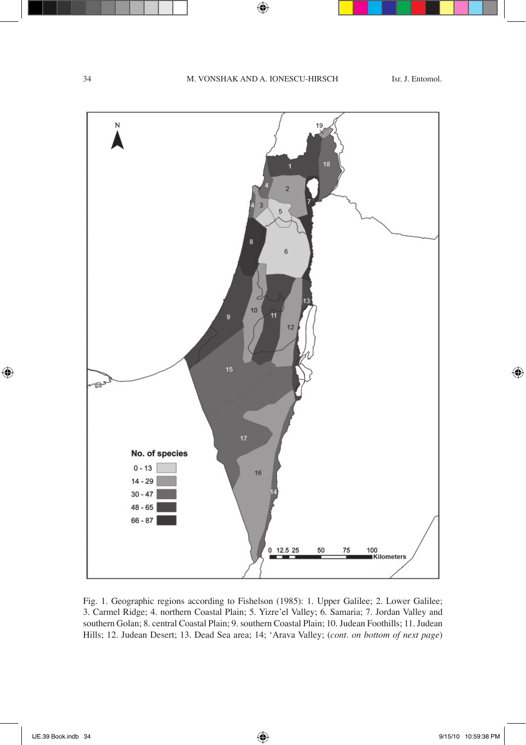$\bigoplus$ 



Fig. 1. Geographic regions according to Fishelson (1985): 1. Upper Galilee; 2. Lower Galilee; 3. Carmel Ridge; 4. northern Coastal Plain; 5. Yizre'el Valley; 6. Samaria; 7. Jordan Valley and southern Golan; 8. central Coastal Plain; 9. southern Coastal Plain; 10. Judean Foothills; 11. Judean Hills; 12. Judean Desert; 13. Dead Sea area; 14; 'Arava Valley; (*cont. on bottom of next page*)

 $\bigoplus$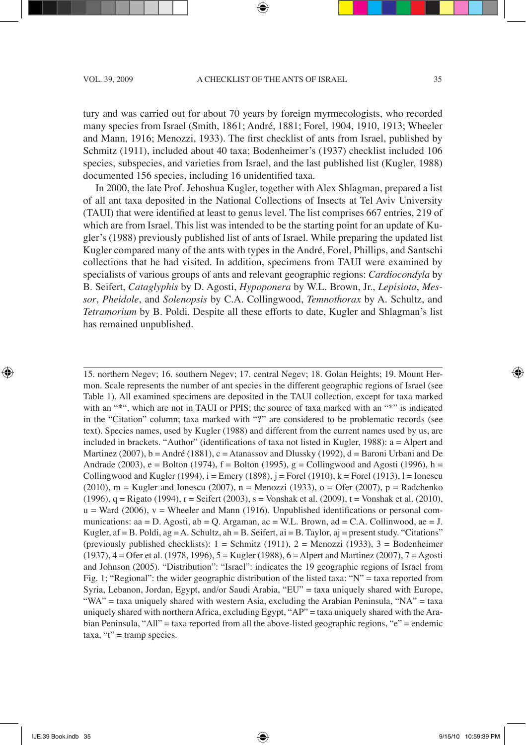tury and was carried out for about 70 years by foreign myrmecologists, who recorded many species from Israel (Smith, 1861; André, 1881; Forel, 1904, 1910, 1913; Wheeler and Mann, 1916; Menozzi, 1933). The first checklist of ants from Israel, published by Schmitz (1911), included about 40 taxa; Bodenheimer's (1937) checklist included 106 species, subspecies, and varieties from Israel, and the last published list (Kugler, 1988) documented 156 species, including 16 unidentified taxa.

In 2000, the late Prof. Jehoshua Kugler, together with Alex Shlagman, prepared a list of all ant taxa deposited in the National Collections of Insects at Tel Aviv University (TAUI) that were identified at least to genus level. The list comprises 667 entries, 219 of which are from Israel. This list was intended to be the starting point for an update of Kugler's (1988) previously published list of ants of Israel. While preparing the updated list Kugler compared many of the ants with types in the André, Forel, Phillips, and Santschi collections that he had visited. In addition, specimens from TAUI were examined by specialists of various groups of ants and relevant geographic regions: *Cardiocondyla* by B. Seifert, *Cataglyphis* by D. Agosti, *Hypoponera* by W.L. Brown, Jr., *Lepisiota*, *Messor*, *Pheidole*, and *Solenopsis* by C.A. Collingwood, *Temnothorax* by A. Schultz, and *Tetramorium* by B. Poldi. Despite all these efforts to date, Kugler and Shlagman's list has remained unpublished.

15. northern Negev; 16. southern Negev; 17. central Negev; 18. Golan Heights; 19. Mount Hermon. Scale represents the number of ant species in the different geographic regions of Israel (see Table 1). All examined specimens are deposited in the TAUI collection, except for taxa marked with an "**\***", which are not in TAUI or PPIS; the source of taxa marked with an "\*" is indicated in the "Citation" column; taxa marked with "**?**" are considered to be problematic records (see text). Species names, used by Kugler (1988) and different from the current names used by us, are included in brackets. "Author" (identifications of taxa not listed in Kugler, 1988): a = Alpert and Martinez (2007), b = André (1881), c = Atanassov and Dlussky (1992), d = Baroni Urbani and De Andrade (2003),  $e =$  Bolton (1974),  $f =$  Bolton (1995),  $g =$  Collingwood and Agosti (1996),  $h =$ Collingwood and Kugler (1994),  $i =$  Emery (1898),  $j =$  Forel (1910),  $k =$  Forel (1913),  $l =$  Ionescu (2010),  $m =$  Kugler and Ionescu (2007),  $n =$  Menozzi (1933),  $o =$  Ofer (2007),  $p =$  Radchenko (1996), q = Rigato (1994), r = Seifert (2003), s = Vonshak et al. (2009), t = Vonshak et al. (2010),  $u = Ward$  (2006),  $v = Wheeler$  and Mann (1916). Unpublished identifications or personal communications: aa = D. Agosti, ab = Q. Argaman, ac = W.L. Brown, ad = C.A. Collinwood, ae = J. Kugler, af  $= B$ . Poldi, ag  $= A$ . Schultz, ah  $= B$ . Seifert, ai  $= B$ . Taylor, aj  $=$  present study. "Citations" (previously published checklists):  $1 =$  Schmitz (1911),  $2 =$  Menozzi (1933),  $3 =$  Bodenheimer (1937), 4 = Ofer et al. (1978, 1996), 5 = Kugler (1988), 6 = Alpert and Martinez (2007), 7 = Agosti and Johnson (2005). "Distribution": "Israel": indicates the 19 geographic regions of Israel from Fig. 1; "Regional": the wider geographic distribution of the listed taxa: "N" = taxa reported from Syria, Lebanon, Jordan, Egypt, and/or Saudi Arabia, "EU" = taxa uniquely shared with Europe, "WA" = taxa uniquely shared with western Asia, excluding the Arabian Peninsula, "NA" = taxa uniquely shared with northern Africa, excluding Egypt, "AP" = taxa uniquely shared with the Arabian Peninsula, "All" = taxa reported from all the above-listed geographic regions, "e" = endemic  $taxa, "t" = tramp species.$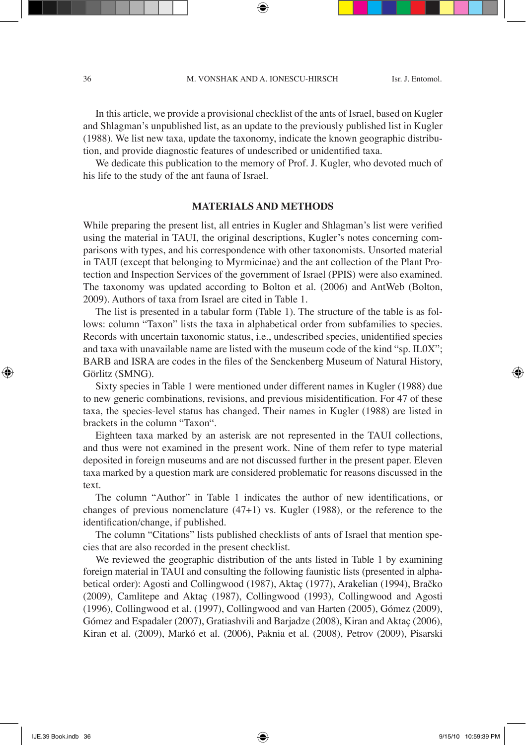In this article, we provide a provisional checklist of the ants of Israel, based on Kugler and Shlagman's unpublished list, as an update to the previously published list in Kugler (1988). We list new taxa, update the taxonomy, indicate the known geographic distribution, and provide diagnostic features of undescribed or unidentified taxa.

We dedicate this publication to the memory of Prof. J. Kugler, who devoted much of his life to the study of the ant fauna of Israel.

# **Materials and methods**

While preparing the present list, all entries in Kugler and Shlagman's list were verified using the material in TAUI, the original descriptions, Kugler's notes concerning comparisons with types, and his correspondence with other taxonomists. Unsorted material in TAUI (except that belonging to Myrmicinae) and the ant collection of the Plant Protection and Inspection Services of the government of Israel (PPIS) were also examined. The taxonomy was updated according to Bolton et al. (2006) and AntWeb (Bolton, 2009). Authors of taxa from Israel are cited in Table 1.

The list is presented in a tabular form (Table 1). The structure of the table is as follows: column "Taxon" lists the taxa in alphabetical order from subfamilies to species. Records with uncertain taxonomic status, i.e., undescribed species, unidentified species and taxa with unavailable name are listed with the museum code of the kind "sp. IL0X"; BARB and ISRA are codes in the files of the Senckenberg Museum of Natural History, Görlitz (SMNG).

Sixty species in Table 1 were mentioned under different names in Kugler (1988) due to new generic combinations, revisions, and previous misidentification. For 47 of these taxa, the species-level status has changed. Their names in Kugler (1988) are listed in brackets in the column "Taxon".

Eighteen taxa marked by an asterisk are not represented in the TAUI collections, and thus were not examined in the present work. Nine of them refer to type material deposited in foreign museums and are not discussed further in the present paper. Eleven taxa marked by a question mark are considered problematic for reasons discussed in the text.

The column "Author" in Table 1 indicates the author of new identifications, or changes of previous nomenclature  $(47+1)$  vs. Kugler  $(1988)$ , or the reference to the identification/change, if published.

The column "Citations" lists published checklists of ants of Israel that mention species that are also recorded in the present checklist.

We reviewed the geographic distribution of the ants listed in Table 1 by examining foreign material in TAUI and consulting the following faunistic lists (presented in alphabetical order): Agosti and Collingwood (1987), Aktaç (1977), Arakelian (1994), Bračko (2009), Camlitepe and Aktaç (1987), Collingwood (1993), Collingwood and Agosti (1996), Collingwood et al. (1997), Collingwood and van Harten (2005), Gómez (2009), Gómez and Espadaler (2007), Gratiashvili and Barjadze (2008), Kiran and Aktaç (2006), Kiran et al. (2009), Markó et al. (2006), Paknia et al. (2008), Petrov (2009), Pisarski

◈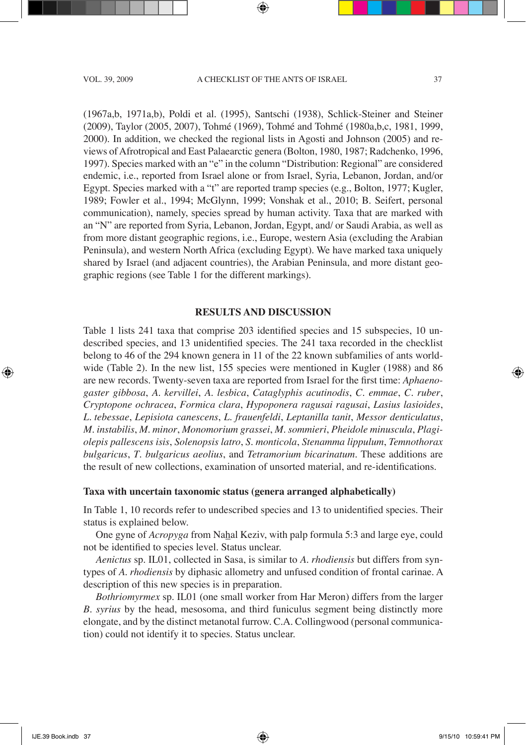#### VOL. 39, 2009 **a** checklist of the ants of israel 37

(1967a,b, 1971a,b), Poldi et al. (1995), Santschi (1938), Schlick-Steiner and Steiner (2009), Taylor (2005, 2007), Tohmé (1969), Tohmé and Tohmé (1980a,b,c, 1981, 1999, 2000). In addition, we checked the regional lists in Agosti and Johnson (2005) and reviews of Afrotropical and East Palaearctic genera (Bolton, 1980, 1987; Radchenko, 1996, 1997). Species marked with an "e" in the column "Distribution: Regional" are considered endemic, i.e., reported from Israel alone or from Israel, Syria, Lebanon, Jordan, and/or Egypt. Species marked with a "t" are reported tramp species (e.g., Bolton, 1977; Kugler, 1989; Fowler et al., 1994; McGlynn, 1999; Vonshak et al., 2010; B. Seifert, personal communication), namely, species spread by human activity. Taxa that are marked with an "N" are reported from Syria, Lebanon, Jordan, Egypt, and/ or Saudi Arabia, as well as from more distant geographic regions, i.e., Europe, western Asia (excluding the Arabian Peninsula), and western North Africa (excluding Egypt). We have marked taxa uniquely shared by Israel (and adjacent countries), the Arabian Peninsula, and more distant geographic regions (see Table 1 for the different markings).

# **Results and Discussion**

Table 1 lists 241 taxa that comprise 203 identified species and 15 subspecies, 10 undescribed species, and 13 unidentified species. The 241 taxa recorded in the checklist belong to 46 of the 294 known genera in 11 of the 22 known subfamilies of ants worldwide (Table 2). In the new list, 155 species were mentioned in Kugler (1988) and 86 are new records. Twenty-seven taxa are reported from Israel for the first time: *Aphaenogaster gibbosa*, *A. kervillei*, *A*. *lesbica*, *Cataglyphis acutinodis*, *C*. *emmae*, *C. ruber*, *Cryptopone ochracea*, *Formica clara*, *Hypoponera ragusai ragusai*, *Lasius lasioides*, *L*. *tebessae*, *Lepisiota canescens*, *L. frauenfeldi*, *Leptanilla tanit*, *Messor denticulatus*, *M*. *instabilis*, *M*. *minor*, *Monomorium grassei*, *M*. *sommieri*, *Pheidole minuscula*, *Plagiolepis pallescens isis*, *Solenopsis latro*, *S*. *monticola*, *Stenamma lippulum*, *Temnothorax bulgaricus*, *T*. *bulgaricus aeolius*, and *Tetramorium bicarinatum*. These additions are the result of new collections, examination of unsorted material, and re-identifications.

### **Taxa with uncertain taxonomic status (genera arranged alphabetically)**

In Table 1, 10 records refer to undescribed species and 13 to unidentified species. Their status is explained below.

One gyne of *Acropyga* from Nahal Keziv, with palp formula 5:3 and large eye, could not be identified to species level. Status unclear.

*Aenictus* sp. IL01, collected in Sasa, is similar to *A. rhodiensis* but differs from syntypes of *A. rhodiensis* by diphasic allometry and unfused condition of frontal carinae. A description of this new species is in preparation.

*Bothriomyrmex* sp. IL01 (one small worker from Har Meron) differs from the larger *B*. *syrius* by the head, mesosoma, and third funiculus segment being distinctly more elongate, and by the distinct metanotal furrow. C.A. Collingwood (personal communication) could not identify it to species. Status unclear.

◈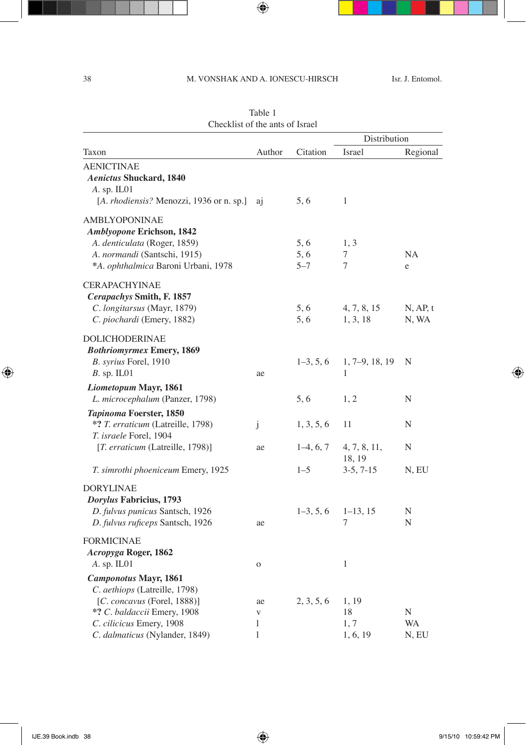$\bigoplus$ 

|                                                 |              |             | Distribution           |           |
|-------------------------------------------------|--------------|-------------|------------------------|-----------|
| Taxon                                           | Author       | Citation    | Israel                 | Regional  |
| <b>AENICTINAE</b>                               |              |             |                        |           |
| <b>Aenictus Shuckard, 1840</b>                  |              |             |                        |           |
| $A.$ sp. IL $01$                                |              |             |                        |           |
| [A. <i>rhodiensis?</i> Menozzi, 1936 or n. sp.] | aj           | 5,6         | $\mathbf{1}$           |           |
| AMBLYOPONINAE                                   |              |             |                        |           |
| <b>Amblyopone Erichson, 1842</b>                |              |             |                        |           |
| A. denticulata (Roger, 1859)                    |              | 5, 6        | 1, 3                   |           |
| A. normandi (Santschi, 1915)                    |              | 5, 6        | 7                      | <b>NA</b> |
| *A. <i>ophthalmica</i> Baroni Urbani, 1978      |              | $5 - 7$     | 7                      | e         |
| <b>CERAPACHYINAE</b>                            |              |             |                        |           |
| <i>Cerapachys Smith, F. 1857</i>                |              |             |                        |           |
| C. longitarsus (Mayr, 1879)                     |              | 5, 6        | 4, 7, 8, 15            | N, AP, t  |
| C. piochardi (Emery, 1882)                      |              | 5, 6        | 1, 3, 18               | N, WA     |
| <b>DOLICHODERINAE</b>                           |              |             |                        |           |
| <b>Bothriomyrmex Emery, 1869</b>                |              |             |                        |           |
| B. syrius Forel, 1910                           |              | $1-3, 5, 6$ | $1, 7-9, 18, 19$       | N         |
| $B.$ sp. IL01                                   | ae           |             | $\mathbf{1}$           |           |
| Liometopum Mayr, 1861                           |              |             |                        |           |
| L. microcephalum (Panzer, 1798)                 |              | 5, 6        | 1, 2                   | N         |
| Tapinoma Foerster, 1850                         |              |             |                        |           |
| *? T. erraticum (Latreille, 1798)               | j            | 1, 3, 5, 6  | 11                     | N         |
| T. israele Forel, 1904                          |              |             |                        |           |
| [ <i>T. erraticum</i> (Latreille, 1798)]        | ae           | $1-4, 6, 7$ | 4, 7, 8, 11,<br>18, 19 | N         |
| <i>T. simrothi phoeniceum Emery, 1925</i>       |              | $1 - 5$     | $3-5, 7-15$            | N, EU     |
| <b>DORYLINAE</b>                                |              |             |                        |           |
| Dorylus Fabricius, 1793                         |              |             |                        |           |
| D. fulvus punicus Santsch, 1926                 |              | $1-3, 5, 6$ | $1-13, 15$             | N         |
| D. fulvus ruficeps Santsch, 1926                | ae           |             | 7                      | N         |
| <b>FORMICINAE</b>                               |              |             |                        |           |
| Acropyga Roger, 1862                            |              |             |                        |           |
| $A.$ sp. $IL01$                                 | $\mathbf O$  |             | 1                      |           |
| <b>Camponotus Mayr, 1861</b>                    |              |             |                        |           |
| C. <i>aethiops</i> (Latreille, 1798)            |              |             |                        |           |
| [C. concavus (Forel, 1888)]                     | ae           | 2, 3, 5, 6  | 1, 19                  |           |
| *? C. baldaccii Emery, 1908                     | $\mathbf V$  |             | 18                     | N         |
| C. cilicicus Emery, 1908                        | 1            |             | 1, 7                   | WA        |
| C. dalmaticus (Nylander, 1849)                  | $\mathbf{l}$ |             | 1, 6, 19               | N, EU     |

# Table 1 Checklist of the ants of Israel

 $\bigoplus$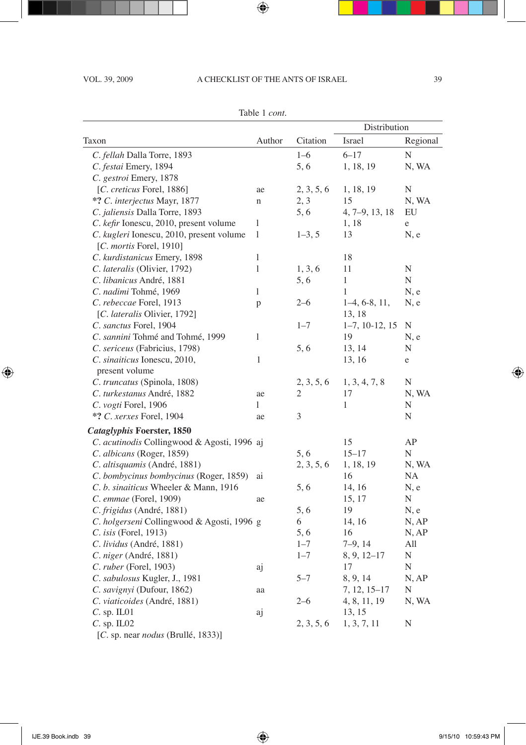# VOL. 39, 2009 A CHECKLIST OF THE ANTS OF ISRAEL 39

 $\bigoplus$ 

|                                             |        |            | Distribution     |          |
|---------------------------------------------|--------|------------|------------------|----------|
| Taxon                                       | Author | Citation   | Israel           | Regional |
| C. fellah Dalla Torre, 1893                 |        | $1 - 6$    | $6 - 17$         | N        |
| C. festai Emery, 1894                       |        | 5,6        | 1, 18, 19        | N, WA    |
| C. gestroi Emery, 1878                      |        |            |                  |          |
| [C. creticus Forel, 1886]                   | ae     | 2, 3, 5, 6 | 1, 18, 19        | N        |
| *? C. interjectus Mayr, 1877                | n      | 2, 3       | 15               | N, WA    |
| C. <i>jaliensis</i> Dalla Torre, 1893       |        | 5, 6       | 4, 7-9, 13, 18   | EU       |
| C. kefir Ionescu, 2010, present volume      | 1      |            | 1, 18            | e        |
| C. kugleri Ionescu, 2010, present volume    | 1      | $1-3, 5$   | 13               | N, e     |
| [C. <i>mortis</i> Forel, 1910]              |        |            |                  |          |
| C. kurdistanicus Emery, 1898                | 1      |            | 18               |          |
| C. lateralis (Olivier, 1792)                | 1      | 1, 3, 6    | 11               | N        |
| C. libanicus André, 1881                    |        | 5, 6       | $\mathbf{1}$     | N        |
| C. nadimi Tohmé, 1969                       | 1      |            | $\mathbf{1}$     | N, e     |
| C. rebeccae Forel, 1913                     | p      | $2 - 6$    | $1-4, 6-8, 11,$  | N, e     |
| [C. lateralis Olivier, 1792]                |        |            | 13, 18           |          |
| C. sanctus Forel, 1904                      |        | $1 - 7$    | $1-7, 10-12, 15$ | N        |
| C. sannini Tohmé and Tohmé, 1999            | 1      |            | 19               | N, e     |
| C. sericeus (Fabricius, 1798)               |        | 5,6        | 13, 14           | N        |
| C. sinaiticus Ionescu, 2010,                | $\,1$  |            | 13, 16           | e        |
| present volume                              |        |            |                  |          |
| C. truncatus (Spinola, 1808)                |        | 2, 3, 5, 6 | 1, 3, 4, 7, 8    | N        |
| C. turkestanus André, 1882                  | ae     | 2          | 17               | N, WA    |
| C. vogti Forel, 1906                        | 1      |            | $\mathbf{1}$     | N        |
| *? C. xerxes Forel, 1904                    | ae     | 3          |                  | N        |
| <b>Cataglyphis Foerster, 1850</b>           |        |            |                  |          |
| C. acutinodis Collingwood & Agosti, 1996 aj |        |            | 15               | AP       |
| C. albicans (Roger, 1859)                   |        | 5, 6       | $15 - 17$        | N        |
| C. altisquamis (André, 1881)                |        | 2, 3, 5, 6 | 1, 18, 19        | N, WA    |
| C. bombycinus bombycinus (Roger, 1859)      | ai     |            | 16               | NA       |
| C. b. sinaiticus Wheeler & Mann, 1916       |        | 5, 6       | 14, 16           | N, e     |
| <i>C. emmae</i> (Forel, 1909)               | ae     |            | 15, 17           | N        |
| C. frigidus (André, 1881)                   |        | 5,6        | 19               | N, e     |
| C. holgerseni Collingwood & Agosti, 1996 g  |        | 6          | 14, 16           | N, AP    |
| C. isis (Forel, 1913)                       |        | 5, 6       | 16               | N, AP    |
| C. lividus (André, 1881)                    |        | $1 - 7$    | $7-9, 14$        | All      |
| <i>C. niger</i> (André, 1881)               |        | $1 - 7$    | $8, 9, 12-17$    | N        |
| C. ruber (Forel, 1903)                      | aj     |            | 17               | N        |
| C. sabulosus Kugler, J., 1981               |        | $5 - 7$    | 8, 9, 14         | N, AP    |
| C. savignyi (Dufour, 1862)                  | aa     |            | 7, 12, 15–17     | N        |
| C. viaticoides (André, 1881)                |        | $2 - 6$    | 4, 8, 11, 19     | N, WA    |
| $C.$ sp. IL01                               | aj     |            | 13, 15           |          |
| $C.$ sp. IL02                               |        | 2, 3, 5, 6 | 1, 3, 7, 11      | N        |
| [C. sp. near nodus (Brullé, 1833)]          |        |            |                  |          |

 $\bigoplus$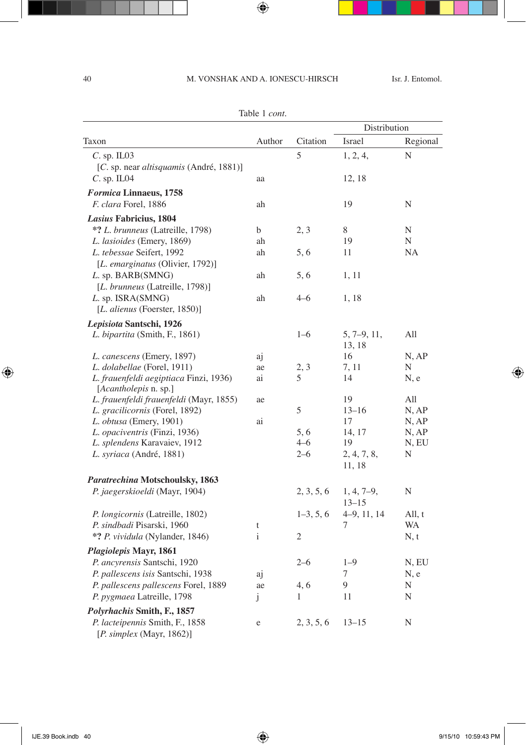$\bigoplus$ 

|                                                                              | Table 1 cont. |                 |               |                |
|------------------------------------------------------------------------------|---------------|-----------------|---------------|----------------|
|                                                                              |               |                 | Distribution  |                |
| Taxon                                                                        | Author        | Citation        | Israel        | Regional       |
| $C.$ sp. IL03                                                                |               | 5               | 1, 2, 4,      | N              |
| [C. sp. near altisquamis (André, 1881)]                                      |               |                 |               |                |
| $C.$ sp. IL04                                                                | aa            |                 | 12, 18        |                |
| Formica Linnaeus, 1758                                                       |               |                 |               |                |
| F. clara Forel, 1886                                                         | ah            |                 | 19            | N              |
| Lasius Fabricius, 1804                                                       |               |                 |               |                |
| *? L. brunneus (Latreille, 1798)                                             | b             | 2, 3            | 8             | N              |
| L. lasioides (Emery, 1869)                                                   | ah            |                 | 19            | N              |
| L. tebessae Seifert, 1992                                                    | ah            | 5, 6            | 11            | <b>NA</b>      |
| [L. emarginatus (Olivier, 1792)]                                             |               |                 |               |                |
| L. sp. BARB(SMNG)                                                            | ah            | 5, 6            | 1, 11         |                |
| [L. brunneus (Latreille, 1798)]                                              |               |                 |               |                |
| L. sp. ISRA(SMNG)                                                            | ah            | $4 - 6$         | 1, 18         |                |
| [L. alienus (Foerster, 1850)]                                                |               |                 |               |                |
| Lepisiota Santschi, 1926                                                     |               |                 |               |                |
| L. bipartita (Smith, F., 1861)                                               |               | $1 - 6$         | $5, 7-9, 11,$ | All            |
|                                                                              |               |                 | 13, 18        |                |
| L. canescens (Emery, 1897)                                                   | aj            |                 | 16            | N, AP          |
| L. dolabellae (Forel, 1911)                                                  | ae            | 2, 3            | 7, 11         | N              |
| L. frauenfeldi aegiptiaca Finzi, 1936)                                       | ai            | 5               | 14            | N, e           |
| [Acantholepis n. sp.]                                                        |               |                 |               |                |
| L. frauenfeldi frauenfeldi (Mayr, 1855)                                      | ae            |                 | 19            | All            |
| L. gracilicornis (Forel, 1892)                                               |               | 5               | $13 - 16$     | N, AP          |
| L. obtusa (Emery, 1901)                                                      | ai            |                 | 17            | N, AP          |
| L. opaciventris (Finzi, 1936)<br>L. splendens Karavaiev, 1912                |               | 5, 6<br>$4 - 6$ | 14, 17<br>19  | N, AP<br>N, EU |
| L. syriaca (André, 1881)                                                     |               | $2 - 6$         | 2, 4, 7, 8,   | N              |
|                                                                              |               |                 | 11, 18        |                |
|                                                                              |               |                 |               |                |
| <i>Paratrechina</i> Motschoulsky, 1863<br>P. jaegerskioeldi (Mayr, 1904)     |               | 2, 3, 5, 6      | $1, 4, 7-9,$  | N              |
|                                                                              |               |                 | $13 - 15$     |                |
| <i>P. longicornis</i> (Latreille, 1802)                                      |               | $1-3, 5, 6$     | $4-9, 11, 14$ | All, t         |
| P. sindbadi Pisarski, 1960                                                   | t             |                 | 7             | WA             |
| *? P. vividula (Nylander, 1846)                                              | $\mathbf{i}$  | $\mathfrak{2}$  |               | N, t           |
| <i>Plagiolepis</i> Mayr, 1861                                                |               |                 |               |                |
| P. ancyrensis Santschi, 1920                                                 |               | $2 - 6$         | $1 - 9$       | N, EU          |
| P. pallescens isis Santschi, 1938                                            | aj            |                 | 7             | N, e           |
| P. pallescens pallescens Forel, 1889                                         | ae            | 4,6             | 9             | N              |
| P. pygmaea Latreille, 1798                                                   | j             | $\mathbf{1}$    | 11            | N              |
|                                                                              |               |                 |               |                |
| <i>Polyrhachis Smith, F., 1857</i><br><i>P. lacteipennis Smith, F., 1858</i> |               | 2, 3, 5, 6      | $13 - 15$     | N              |
| [P. simple x (Mayr, 1862)]                                                   | $\rm e$       |                 |               |                |

 $\bigoplus$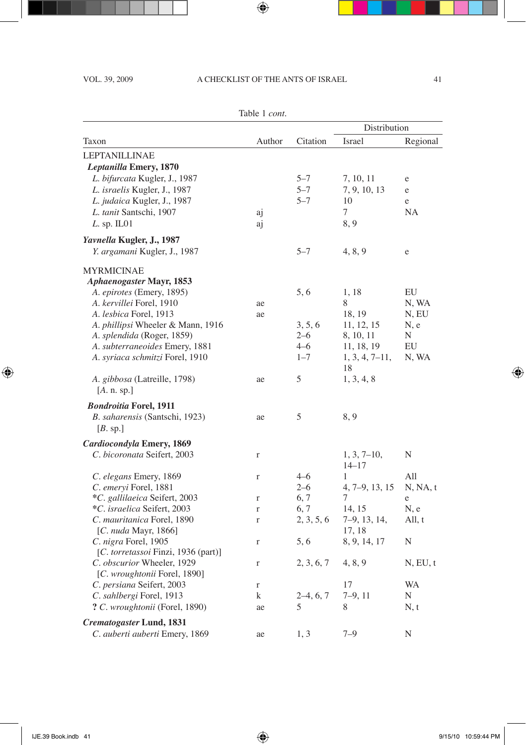*Bondroitia* **Forel, 1911**

*Cardiocondyla* **Emery, 1869**

[*C. torretassoi* Finzi, 1936 (part)]

[*C. wroughtonii* Forel, 1890]

*Crematogaster* **Lund, 1831**

[*B.* sp.]

 $\bigcirc$ 

#### Vol. 39, 2009 a checklist of the ants of israel 41

Table 1 *cont.*

⊕

|                                             |        |          | Distribution           |          |
|---------------------------------------------|--------|----------|------------------------|----------|
| Taxon                                       | Author | Citation | Israel                 | Regional |
| LEPTANILLINAE                               |        |          |                        |          |
| <b>Leptanilla Emery, 1870</b>               |        |          |                        |          |
| L. bifurcata Kugler, J., 1987               |        | $5 - 7$  | 7, 10, 11              | e        |
| L. israelis Kugler, J., 1987                |        | $5 - 7$  | 7, 9, 10, 13           | e        |
| L. judaica Kugler, J., 1987                 |        | $5 - 7$  | 10                     | e        |
| L. tanit Santschi, 1907                     | aj     |          | 7                      | NA.      |
| $L$ . sp. IL01                              | aj     |          | 8,9                    |          |
| Yavnella Kugler, J., 1987                   |        |          |                        |          |
| Y. argamani Kugler, J., 1987                |        | $5 - 7$  | 4, 8, 9                | e        |
| <b>MYRMICINAE</b>                           |        |          |                        |          |
| Aphaenogaster Mayr, 1853                    |        |          |                        |          |
| A. epirotes (Emery, 1895)                   |        | 5, 6     | 1, 18                  | EU       |
| A. kervillei Forel, 1910                    | ae     |          | 8                      | N, WA    |
| A. lesbica Forel, 1913                      | ae     |          | 18, 19                 | N, EU    |
| A. <i>phillipsi</i> Wheeler & Mann, 1916    |        | 3, 5, 6  | 11, 12, 15             | N, e     |
| A. splendida (Roger, 1859)                  |        | $2 - 6$  | 8, 10, 11              | N        |
| A. subterraneoides Emery, 1881              |        | $4 - 6$  | 11, 18, 19             | EU       |
| A. syriaca schmitzi Forel, 1910             |        | $1 - 7$  | $1, 3, 4, 7-11,$<br>18 | N, WA    |
| A. gibbosa (Latreille, 1798)<br>[A. n. sp.] | ae     | 5        | 1, 3, 4, 8             |          |

*B. saharensis* (Santschi, 1923) ae 5 8, 9

*C. emeryi* Forel, 1881 2–6<br>
\*C. gallilaeica Seifert, 2003 r 6, 7

[*C. nuda* Mayr, 1866] 17, 18

*C. bicoronata* Seifert, 2003 r 1, 3, 7–10, N

**\****C. gallilaeica* Seifert, 2003 r 6, 7 7 e **\****C. israelica* Seifert, 2003 r 6, 7 14, 15 N, e *C. mauritanica* Forel, 1890 r 2, 3, 5, 6 7–9, 13, 14, All, t<br>
[*C. nuda* Mayr, 1866] 17, 18

*C. nigra* Forel, 1905 r 5, 6 8, 9, 14, 17 N

*C. elegans* Emery, 1869 r 4–6 1 All<br> *C. emeryi* Forel, 1881 2–6 4, 7–9, 13, 15 N, NA, t

*C. obscurior* Wheeler, 1929 r 2, 3, 6, 7 4, 8, 9 N, EU, t

*C. persiana* Seifert, 2003 r 17 WA *C. sahlbergi* Forel, 1913 k 2–4, 6, 7 7–9, 11 N **?** *C. wroughtonii* (Forel, 1890) ae 5 8 N, t

*C. auberti auberti* Emery, 1869 ae 1, 3 7–9 N

14–17

IJE.39 Book.indb 41 9/15/10 10:59:44 PM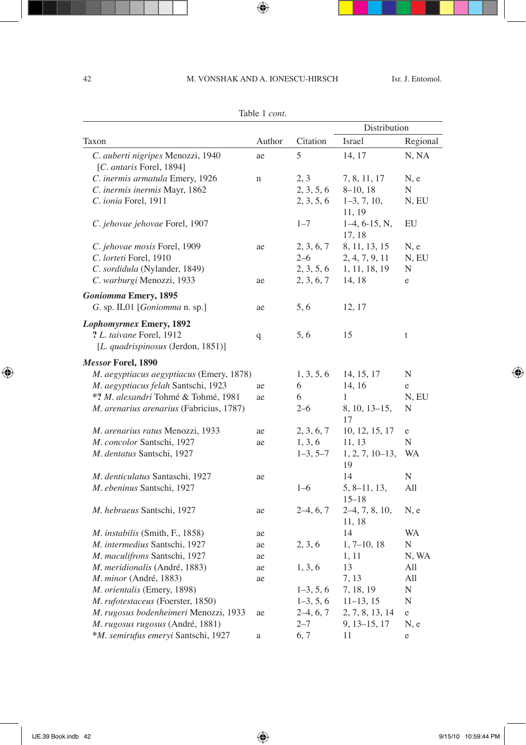# 42 M. VONSHAK AND A. IONESCU-HIRSCH Isr. J. Entomol.

 $\bigoplus$ 

|                                                                | Table 1 <i>cont</i> . |             |                             |              |
|----------------------------------------------------------------|-----------------------|-------------|-----------------------------|--------------|
|                                                                |                       |             | Distribution                |              |
| Taxon                                                          | Author                | Citation    | Israel                      | Regional     |
| C. auberti nigripes Menozzi, 1940<br>[C. antaris Forel, 1894]  | ae                    | 5           | 14, 17                      | N, NA        |
| C. inermis armatula Emery, 1926                                | $\mathbf n$           | 2, 3        | 7, 8, 11, 17                | N, e         |
| C. inermis inermis Mayr, 1862                                  |                       | 2, 3, 5, 6  | $8-10, 18$                  | N            |
| C. ionia Forel, 1911                                           |                       | 2, 3, 5, 6  | $1-3, 7, 10,$<br>11, 19     | N, EU        |
| C. jehovae jehovae Forel, 1907                                 |                       | $1 - 7$     | $1-4, 6-15, N,$<br>17, 18   | EU           |
| C. jehovae mosis Forel, 1909                                   | ae                    | 2, 3, 6, 7  | 8, 11, 13, 15               | N, e         |
| C. lorteti Forel, 1910                                         |                       | $2 - 6$     | 2, 4, 7, 9, 11              | N, EU        |
| C. sordidula (Nylander, 1849)                                  |                       | 2, 3, 5, 6  | 1, 11, 18, 19               | N            |
| C. warburgi Menozzi, 1933                                      | ae                    | 2, 3, 6, 7  | 14, 18                      | e            |
| <b>Goniomma Emery, 1895</b>                                    |                       |             |                             |              |
| G. sp. IL01 [Goniomma n. sp.]                                  | ae                    | 5, 6        | 12, 17                      |              |
| <b>Lophomyrmex Emery, 1892</b>                                 |                       |             |                             |              |
| ? L. taivane Forel, 1912<br>[L. quadrispinosus (Jerdon, 1851)] | q                     | 5, 6        | 15                          | $\mathsf{t}$ |
| Messor Forel, 1890                                             |                       |             |                             |              |
| M. aegyptiacus aegyptiacus (Emery, 1878)                       |                       | 1, 3, 5, 6  | 14, 15, 17                  | N            |
| M. aegyptiacus felah Santschi, 1923                            | ae                    | 6           | 14, 16                      | e            |
| *? M. alexandri Tohmé & Tohmé, 1981                            | ae                    | 6           | 1                           | N, EU        |
| M. arenarius arenarius (Fabricius, 1787)                       |                       | $2 - 6$     | 8, 10, 13–15,<br>17         | N            |
| M. arenarius ratus Menozzi, 1933                               | ae                    | 2, 3, 6, 7  | 10, 12, 15, 17              | $\rm e$      |
| M. concolor Santschi, 1927                                     | ae                    | 1, 3, 6     | 11, 13                      | N            |
| <i>M. dentatus Santschi, 1927</i>                              |                       | $1-3, 5-7$  | $1, 2, 7, 10-13,$<br>19     | WA           |
| M. denticulatus Santaschi, 1927                                | ae                    |             | 14                          | N            |
| M. ebeninus Santschi, 1927                                     |                       | $1 - 6$     | $5, 8-11, 13,$<br>$15 - 18$ | All          |
| <i>M. hebraeus Santschi, 1927</i>                              | ae                    | $2-4, 6, 7$ | $2-4, 7, 8, 10,$<br>11, 18  | N, e         |
| M. instabilis (Smith, F., 1858)                                | ae                    |             | 14                          | <b>WA</b>    |
| M. intermedius Santschi, 1927                                  | ae                    | 2, 3, 6     | $1, 7 - 10, 18$             | N            |
| M. maculifrons Santschi, 1927                                  | ae                    |             | 1, 11                       | N, WA        |
| M. meridionalis (André, 1883)                                  | ae                    | 1, 3, 6     | 13                          | All          |
| M. minor (André, 1883)                                         | ae                    |             | 7, 13                       | All          |
| M. orientalis (Emery, 1898)                                    |                       | $1-3, 5, 6$ | 7, 18, 19                   | N            |
| M. rufotestaceus (Foerster, 1850)                              |                       | $1-3, 5, 6$ | $11-13, 15$                 | N            |
| M. rugosus bodenheimeri Menozzi, 1933                          | ae                    | $2-4, 6, 7$ | 2, 7, 8, 13, 14             | e            |
| <i>M. rugosus rugosus</i> (André, 1881)                        |                       | $2 - 7$     | 9, 13–15, 17                | N, e         |
| *M. semirufus emeryi Santschi, 1927                            | a                     | 6,7         | 11                          | e            |

 $\bigoplus$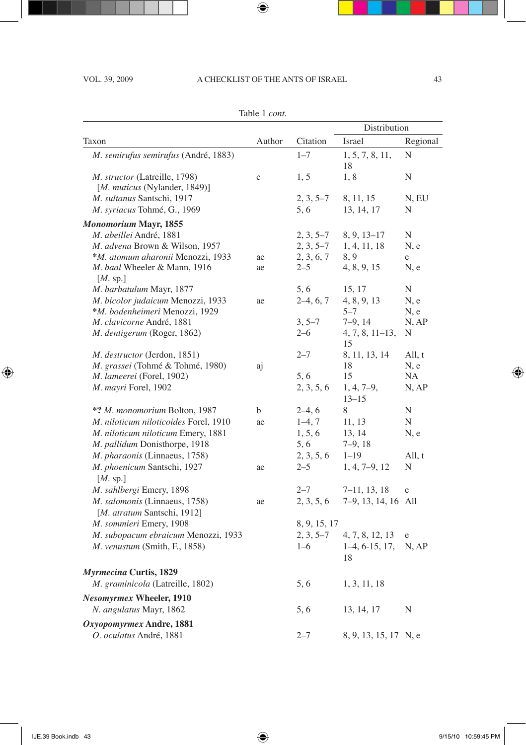# Vol. 39, 2009 a checklist of the ants of israel 43

|                                                                        |             |               | Distribution              |          |
|------------------------------------------------------------------------|-------------|---------------|---------------------------|----------|
| Taxon                                                                  | Author      | Citation      | Israel                    | Regional |
| M. semirufus semirufus (André, 1883)                                   |             | $1 - 7$       | 1, 5, 7, 8, 11,<br>18     | N        |
| M. structor (Latreille, 1798)<br>[ <i>M. muticus</i> (Nylander, 1849)] | $\mathbf c$ | 1, 5          | 1,8                       | N        |
| M. sultanus Santschi, 1917                                             |             | $2, 3, 5-7$   | 8, 11, 15                 | N, EU    |
| M. syriacus Tohmé, G., 1969                                            |             | 5,6           | 13, 14, 17                | N        |
| Monomorium Mayr, 1855                                                  |             |               |                           |          |
| M. abeillei André, 1881                                                |             | $2, 3, 5 - 7$ | 8, 9, 13-17               | N        |
| M. advena Brown & Wilson, 1957                                         |             | $2, 3, 5-7$   | 1, 4, 11, 18              | N, e     |
| *M. atomum aharonii Menozzi, 1933                                      | ae          | 2, 3, 6, 7    | 8, 9                      | e        |
| M. baal Wheeler & Mann, 1916<br>[ <i>M</i> . sp.]                      | ae          | $2 - 5$       | 4, 8, 9, 15               | N, e     |
| M. barbatulum Mayr, 1877                                               |             | 5,6           | 15, 17                    | N        |
| M. bicolor judaicum Menozzi, 1933                                      | ae          | $2-4, 6, 7$   | 4, 8, 9, 13               | N, e     |
| *M. bodenheimeri Menozzi, 1929                                         |             |               | $5 - 7$                   | N, e     |
| M. clavicorne André, 1881                                              |             | $3, 5 - 7$    | $7-9,14$                  | N, AP    |
| M. dentigerum (Roger, 1862)                                            |             | $2 - 6$       | $4, 7, 8, 11-13,$<br>15   | N        |
| <i>M. destructor</i> (Jerdon, 1851)                                    |             | $2 - 7$       | 8, 11, 13, 14             | All, t   |
| M. grassei (Tohmé & Tohmé, 1980)                                       | aj          |               | 18                        | N, e     |
| M. lameerei (Forel, 1902)                                              |             | 5,6           | 15                        | NA       |
| M. mayri Forel, 1902                                                   |             | 2, 3, 5, 6    | $1, 4, 7-9,$<br>$13 - 15$ | N, AP    |
| *? M. monomorium Bolton, 1987                                          | b           | $2-4, 6$      | 8                         | N        |
| M. niloticum niloticoides Forel, 1910                                  | ae          | $1-4, 7$      | 11, 13                    | N        |
| M. niloticum niloticum Emery, 1881                                     |             | 1, 5, 6       | 13, 14                    | N, e     |
| M. pallidum Donisthorpe, 1918                                          |             | 5, 6          | $7-9,18$                  |          |
| M. pharaonis (Linnaeus, 1758)                                          |             | 2, 3, 5, 6    | $1 - 19$                  | All, t   |
| M. phoenicum Santschi, 1927<br>$[M.$ sp.                               | ae          | $2 - 5$       | $1, 4, 7-9, 12$           | N        |
| M. sahlbergi Emery, 1898                                               |             | $2 - 7$       | $7-11, 13, 18$            | e        |
| M. salomonis (Linnaeus, 1758)<br>[M. atratum Santschi, 1912]           | ae          | 2, 3, 5, 6    | 7–9, 13, 14, 16           | All      |
| M. sommieri Emery, 1908                                                |             | 8, 9, 15, 17  |                           |          |
| M. subopacum ebraicum Menozzi, 1933                                    |             | $2, 3, 5-7$   | 4, 7, 8, 12, 13           | e        |
| M. venustum (Smith, F., 1858)                                          |             | $1 - 6$       | $1-4, 6-15, 17,$<br>18    | N, AP    |
| Myrmecina Curtis, 1829                                                 |             |               |                           |          |
| <i>M. graminicola</i> (Latreille, 1802)                                |             | 5, 6          | 1, 3, 11, 18              |          |
| <b>Nesomyrmex Wheeler, 1910</b>                                        |             |               |                           |          |
| N. angulatus Mayr, 1862                                                |             | 5, 6          | 13, 14, 17                | N        |
| Oxyopomyrmex Andre, 1881                                               |             |               |                           |          |
| O. oculatus André, 1881                                                |             | $2 - 7$       | 8, 9, 13, 15, 17 N, e     |          |

Table 1 *cont.*

 $\bigoplus$ 

 $\bigoplus$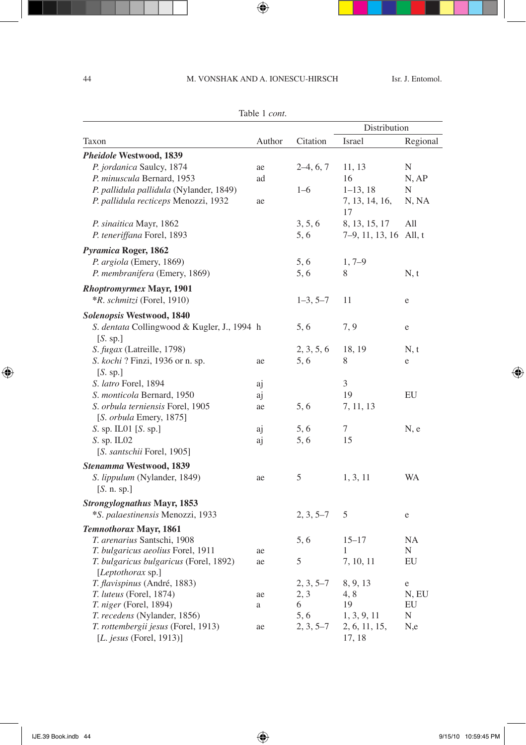$\bigoplus$ 

|                                                                      | Table 1 <i>cont</i> . |             |                      |          |
|----------------------------------------------------------------------|-----------------------|-------------|----------------------|----------|
|                                                                      |                       |             | Distribution         |          |
| Taxon                                                                | Author                | Citation    | Israel               | Regional |
| Pheidole Westwood, 1839                                              |                       |             |                      |          |
| P. jordanica Saulcy, 1874                                            | ae                    | $2-4, 6, 7$ | 11, 13               | N        |
| P. minuscula Bernard, 1953                                           | ad                    |             | 16                   | N, AP    |
| P. pallidula pallidula (Nylander, 1849)                              |                       | $1 - 6$     | $1-13, 18$           | N        |
| P. pallidula recticeps Menozzi, 1932                                 | ae                    |             | 7, 13, 14, 16,<br>17 | N, NA    |
| P. sinaitica Mayr, 1862                                              |                       | 3, 5, 6     | 8, 13, 15, 17        | All      |
| P. teneriffana Forel, 1893                                           |                       | 5, 6        | 7–9, 11, 13, 16      | All, t   |
| Pyramica Roger, 1862                                                 |                       |             |                      |          |
| P. argiola (Emery, 1869)                                             |                       | 5, 6        | $1, 7-9$             |          |
| P. membranifera (Emery, 1869)                                        |                       | 5, 6        | 8                    | N, t     |
|                                                                      |                       |             |                      |          |
| <b>Rhoptromyrmex Mayr, 1901</b><br><i>*R. schmitzi</i> (Forel, 1910) |                       | $1-3, 5-7$  | 11                   | e        |
|                                                                      |                       |             |                      |          |
| Solenopsis Westwood, 1840                                            |                       |             |                      |          |
| S. dentata Collingwood & Kugler, J., 1994 h<br>[S. sp.]              |                       | 5, 6        | 7, 9                 | e        |
| <i>S. fugax</i> (Latreille, 1798)                                    |                       | 2, 3, 5, 6  | 18, 19               | N, t     |
| <i>S. kochi</i> ? Finzi, 1936 or n. sp.<br>[S. sp.]                  | ae                    | 5, 6        | 8                    | e        |
| S. latro Forel, 1894                                                 | aj                    |             | 3                    |          |
| S. monticola Bernard, 1950                                           | aj                    |             | 19                   | EU       |
| S. orbula terniensis Forel, 1905<br>[S. orbula Emery, 1875]          | ae                    | 5, 6        | 7, 11, 13            |          |
| $S.$ sp. ILO1 [ $S.$ sp.]                                            | aj                    | 5, 6        | 7                    | N, e     |
| $S.$ sp. $IL02$                                                      | aj                    | 5,6         | 15                   |          |
| [S. santschii Forel, 1905]                                           |                       |             |                      |          |
| Stenamma Westwood, 1839                                              |                       |             |                      |          |
| <i>S. lippulum</i> (Nylander, 1849)                                  | ae                    | 5           | 1, 3, 11             | WA       |
| [S. n. sp.]                                                          |                       |             |                      |          |
| <b>Strongylognathus Mayr, 1853</b>                                   |                       |             |                      |          |
| *S. palaestinensis Menozzi, 1933                                     |                       | $2, 3, 5-7$ | 5                    | e        |
| Temnothorax Mayr, 1861                                               |                       |             |                      |          |
| T. arenarius Santschi, 1908                                          |                       | 5, 6        | $15 - 17$            | NA       |
| <i>T. bulgaricus aeolius</i> Forel, 1911                             | ae                    |             | 1                    | N        |
| T. bulgaricus bulgaricus (Forel, 1892)                               | ae                    | 5           | 7, 10, 11            | EU       |
| [ <i>Leptothorax</i> sp.]                                            |                       |             |                      |          |
| <i>T. flavispinus</i> (André, 1883)                                  |                       | $2, 3, 5-7$ | 8, 9, 13             | e        |
| T. luteus (Forel, 1874)                                              | ae                    | 2, 3        | 4, 8                 | N, EU    |
| <i>T. niger</i> (Forel, 1894)                                        | a                     | 6           | 19                   | EU       |
| T. recedens (Nylander, 1856)                                         |                       | 5, 6        | 1, 3, 9, 11          | N        |
| T. rottembergii jesus (Forel, 1913)                                  | ae                    | $2, 3, 5-7$ | 2, 6, 11, 15,        | N,e      |
| [ $L.$ jesus (Forel, 1913)]                                          |                       |             | 17, 18               |          |

 $\bigoplus$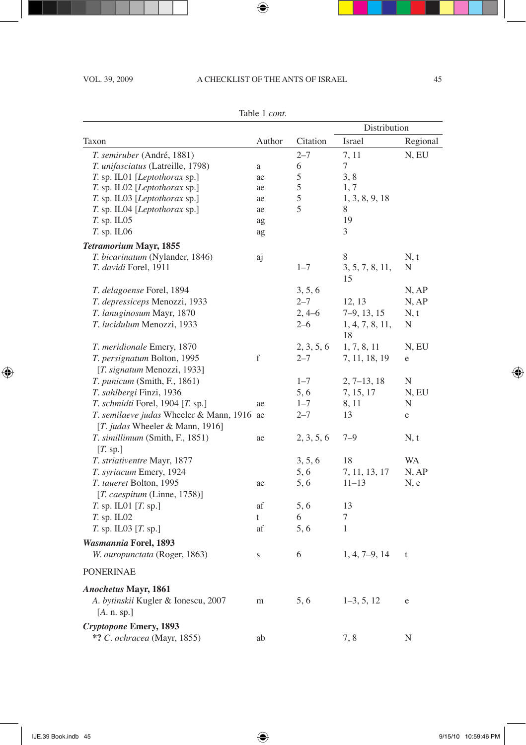# VOL. 39, 2009 A CHECKLIST OF THE ANTS OF ISRAEL 45

 $\bigoplus$ 

| Table 1 <i>cont</i> . |  |
|-----------------------|--|
|                       |  |

| Author<br>Citation<br>Israel<br>Taxon<br>T. semiruber (André, 1881)<br>$2 - 7$<br>7, 11<br>N, EU<br>7<br>T. unifasciatus (Latreille, 1798)<br>6<br>a<br>5<br>3, 8<br>T. sp. IL01 [Leptothorax sp.]<br>ae<br>5<br>T. sp. IL02 [ <i>Leptothorax</i> sp.]<br>1, 7<br>ae<br>5<br>T. sp. IL03 [Leptothorax sp.]<br>1, 3, 8, 9, 18<br>ae<br>5<br>T. sp. IL04 [Leptothorax sp.]<br>8<br>ae<br>19<br>T. sp. IL05<br>ag<br>3<br>T. sp. IL06<br>ag<br><b>Tetramorium Mayr, 1855</b><br><i>T. bicarinatum</i> (Nylander, 1846)<br>8<br>N, t<br>aj<br><i>T. davidi</i> Forel, 1911<br>$1 - 7$<br>3, 5, 7, 8, 11,<br>N<br>15<br>3, 5, 6<br>N, AP<br>T. delagoense Forel, 1894<br>T. depressiceps Menozzi, 1933<br>$2 - 7$<br>12, 13<br>N, AP<br>$2,4-6$<br>T. lanuginosum Mayr, 1870<br>$7-9, 13, 15$<br>N, t<br>T. lucidulum Menozzi, 1933<br>$2 - 6$<br>1, 4, 7, 8, 11,<br>N<br>18<br>T. meridionale Emery, 1870<br>2, 3, 5, 6<br>1, 7, 8, 11<br>N, EU<br>f<br>T. persignatum Bolton, 1995<br>$2 - 7$<br>7, 11, 18, 19<br>e<br>[T. signatum Menozzi, 1933]<br>$1 - 7$<br><i>T. punicum</i> (Smith, F., 1861)<br>$2, 7-13, 18$<br>N |  | Distribution |          |
|-------------------------------------------------------------------------------------------------------------------------------------------------------------------------------------------------------------------------------------------------------------------------------------------------------------------------------------------------------------------------------------------------------------------------------------------------------------------------------------------------------------------------------------------------------------------------------------------------------------------------------------------------------------------------------------------------------------------------------------------------------------------------------------------------------------------------------------------------------------------------------------------------------------------------------------------------------------------------------------------------------------------------------------------------------------------------------------------------------------------------|--|--------------|----------|
|                                                                                                                                                                                                                                                                                                                                                                                                                                                                                                                                                                                                                                                                                                                                                                                                                                                                                                                                                                                                                                                                                                                         |  |              | Regional |
|                                                                                                                                                                                                                                                                                                                                                                                                                                                                                                                                                                                                                                                                                                                                                                                                                                                                                                                                                                                                                                                                                                                         |  |              |          |
|                                                                                                                                                                                                                                                                                                                                                                                                                                                                                                                                                                                                                                                                                                                                                                                                                                                                                                                                                                                                                                                                                                                         |  |              |          |
|                                                                                                                                                                                                                                                                                                                                                                                                                                                                                                                                                                                                                                                                                                                                                                                                                                                                                                                                                                                                                                                                                                                         |  |              |          |
|                                                                                                                                                                                                                                                                                                                                                                                                                                                                                                                                                                                                                                                                                                                                                                                                                                                                                                                                                                                                                                                                                                                         |  |              |          |
|                                                                                                                                                                                                                                                                                                                                                                                                                                                                                                                                                                                                                                                                                                                                                                                                                                                                                                                                                                                                                                                                                                                         |  |              |          |
|                                                                                                                                                                                                                                                                                                                                                                                                                                                                                                                                                                                                                                                                                                                                                                                                                                                                                                                                                                                                                                                                                                                         |  |              |          |
|                                                                                                                                                                                                                                                                                                                                                                                                                                                                                                                                                                                                                                                                                                                                                                                                                                                                                                                                                                                                                                                                                                                         |  |              |          |
|                                                                                                                                                                                                                                                                                                                                                                                                                                                                                                                                                                                                                                                                                                                                                                                                                                                                                                                                                                                                                                                                                                                         |  |              |          |
|                                                                                                                                                                                                                                                                                                                                                                                                                                                                                                                                                                                                                                                                                                                                                                                                                                                                                                                                                                                                                                                                                                                         |  |              |          |
|                                                                                                                                                                                                                                                                                                                                                                                                                                                                                                                                                                                                                                                                                                                                                                                                                                                                                                                                                                                                                                                                                                                         |  |              |          |
|                                                                                                                                                                                                                                                                                                                                                                                                                                                                                                                                                                                                                                                                                                                                                                                                                                                                                                                                                                                                                                                                                                                         |  |              |          |
|                                                                                                                                                                                                                                                                                                                                                                                                                                                                                                                                                                                                                                                                                                                                                                                                                                                                                                                                                                                                                                                                                                                         |  |              |          |
|                                                                                                                                                                                                                                                                                                                                                                                                                                                                                                                                                                                                                                                                                                                                                                                                                                                                                                                                                                                                                                                                                                                         |  |              |          |
|                                                                                                                                                                                                                                                                                                                                                                                                                                                                                                                                                                                                                                                                                                                                                                                                                                                                                                                                                                                                                                                                                                                         |  |              |          |
|                                                                                                                                                                                                                                                                                                                                                                                                                                                                                                                                                                                                                                                                                                                                                                                                                                                                                                                                                                                                                                                                                                                         |  |              |          |
|                                                                                                                                                                                                                                                                                                                                                                                                                                                                                                                                                                                                                                                                                                                                                                                                                                                                                                                                                                                                                                                                                                                         |  |              |          |
|                                                                                                                                                                                                                                                                                                                                                                                                                                                                                                                                                                                                                                                                                                                                                                                                                                                                                                                                                                                                                                                                                                                         |  |              |          |
|                                                                                                                                                                                                                                                                                                                                                                                                                                                                                                                                                                                                                                                                                                                                                                                                                                                                                                                                                                                                                                                                                                                         |  |              |          |
|                                                                                                                                                                                                                                                                                                                                                                                                                                                                                                                                                                                                                                                                                                                                                                                                                                                                                                                                                                                                                                                                                                                         |  |              |          |
| T. sahlbergi Finzi, 1936<br>5,6<br>7, 15, 17<br>N, EU                                                                                                                                                                                                                                                                                                                                                                                                                                                                                                                                                                                                                                                                                                                                                                                                                                                                                                                                                                                                                                                                   |  |              |          |
| $1 - 7$<br>8, 11<br><i>T. schmidti</i> Forel, 1904 [ <i>T.</i> sp.]<br>N<br>ae                                                                                                                                                                                                                                                                                                                                                                                                                                                                                                                                                                                                                                                                                                                                                                                                                                                                                                                                                                                                                                          |  |              |          |
| $2 - 7$<br>13<br>T. semilaeve judas Wheeler & Mann, 1916 ae<br>e                                                                                                                                                                                                                                                                                                                                                                                                                                                                                                                                                                                                                                                                                                                                                                                                                                                                                                                                                                                                                                                        |  |              |          |
| [T. judas Wheeler & Mann, 1916]                                                                                                                                                                                                                                                                                                                                                                                                                                                                                                                                                                                                                                                                                                                                                                                                                                                                                                                                                                                                                                                                                         |  |              |          |
| T. simillimum (Smith, F., 1851)<br>2, 3, 5, 6<br>$7 - 9$<br>N, t<br>ae                                                                                                                                                                                                                                                                                                                                                                                                                                                                                                                                                                                                                                                                                                                                                                                                                                                                                                                                                                                                                                                  |  |              |          |
| $[T.$ sp.]                                                                                                                                                                                                                                                                                                                                                                                                                                                                                                                                                                                                                                                                                                                                                                                                                                                                                                                                                                                                                                                                                                              |  |              |          |
| 18<br>3, 5, 6<br>WA<br>T. striativentre Mayr, 1877                                                                                                                                                                                                                                                                                                                                                                                                                                                                                                                                                                                                                                                                                                                                                                                                                                                                                                                                                                                                                                                                      |  |              |          |
| 5, 6<br>N, AP<br>T. syriacum Emery, 1924<br>7, 11, 13, 17                                                                                                                                                                                                                                                                                                                                                                                                                                                                                                                                                                                                                                                                                                                                                                                                                                                                                                                                                                                                                                                               |  |              |          |
| <i>T. taueret</i> Bolton, 1995<br>5, 6<br>$11 - 13$<br>N, e<br>ae                                                                                                                                                                                                                                                                                                                                                                                                                                                                                                                                                                                                                                                                                                                                                                                                                                                                                                                                                                                                                                                       |  |              |          |
| [T. caespitum (Linne, 1758)]                                                                                                                                                                                                                                                                                                                                                                                                                                                                                                                                                                                                                                                                                                                                                                                                                                                                                                                                                                                                                                                                                            |  |              |          |
| T. sp. IL01 [T. sp.]<br>af<br>5, 6<br>13                                                                                                                                                                                                                                                                                                                                                                                                                                                                                                                                                                                                                                                                                                                                                                                                                                                                                                                                                                                                                                                                                |  |              |          |
| $T.$ sp. $ILO2$<br>6<br>7<br>t                                                                                                                                                                                                                                                                                                                                                                                                                                                                                                                                                                                                                                                                                                                                                                                                                                                                                                                                                                                                                                                                                          |  |              |          |
| 1<br>T. sp. IL03 [T. sp.]<br>af<br>5, 6                                                                                                                                                                                                                                                                                                                                                                                                                                                                                                                                                                                                                                                                                                                                                                                                                                                                                                                                                                                                                                                                                 |  |              |          |
| Wasmannia Forel, 1893                                                                                                                                                                                                                                                                                                                                                                                                                                                                                                                                                                                                                                                                                                                                                                                                                                                                                                                                                                                                                                                                                                   |  |              |          |
| 6<br>$1, 4, 7-9, 14$<br>W. auropunctata (Roger, 1863)<br>t<br>$\mathbf S$                                                                                                                                                                                                                                                                                                                                                                                                                                                                                                                                                                                                                                                                                                                                                                                                                                                                                                                                                                                                                                               |  |              |          |
| <b>PONERINAE</b>                                                                                                                                                                                                                                                                                                                                                                                                                                                                                                                                                                                                                                                                                                                                                                                                                                                                                                                                                                                                                                                                                                        |  |              |          |
| <b>Anochetus Mayr, 1861</b>                                                                                                                                                                                                                                                                                                                                                                                                                                                                                                                                                                                                                                                                                                                                                                                                                                                                                                                                                                                                                                                                                             |  |              |          |
| A. bytinskii Kugler & Ionescu, 2007<br>5, 6<br>$1-3, 5, 12$<br>e<br>m                                                                                                                                                                                                                                                                                                                                                                                                                                                                                                                                                                                                                                                                                                                                                                                                                                                                                                                                                                                                                                                   |  |              |          |
| [A. n. sp.]                                                                                                                                                                                                                                                                                                                                                                                                                                                                                                                                                                                                                                                                                                                                                                                                                                                                                                                                                                                                                                                                                                             |  |              |          |
| <i>Cryptopone Emery, 1893</i>                                                                                                                                                                                                                                                                                                                                                                                                                                                                                                                                                                                                                                                                                                                                                                                                                                                                                                                                                                                                                                                                                           |  |              |          |
| *? C. ochracea (Mayr, 1855)<br>7,8<br>N<br>ab                                                                                                                                                                                                                                                                                                                                                                                                                                                                                                                                                                                                                                                                                                                                                                                                                                                                                                                                                                                                                                                                           |  |              |          |

 $\bigoplus$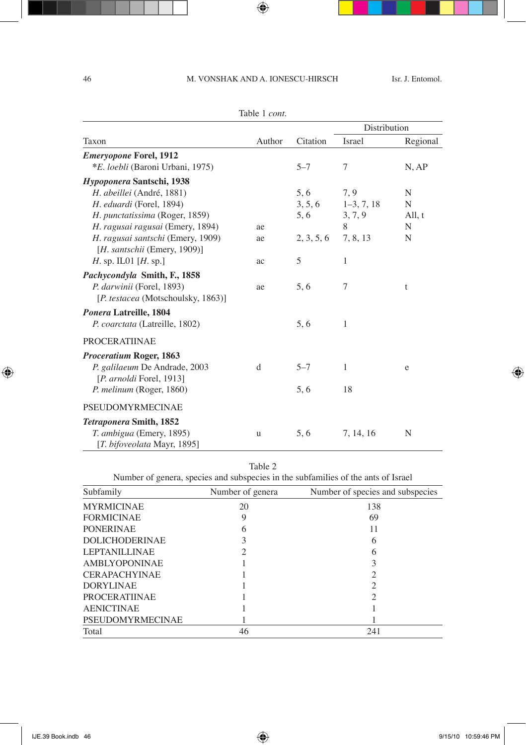$\bigoplus$ 

|                                          | Table 1 <i>cont</i> . |            |                      |          |
|------------------------------------------|-----------------------|------------|----------------------|----------|
|                                          |                       |            | Distribution         |          |
| Taxon                                    | Author                | Citation   | Israel               | Regional |
| <b>Emeryopone Forel, 1912</b>            |                       |            |                      |          |
| * <i>E. loebli</i> (Baroni Urbani, 1975) |                       | $5 - 7$    | 7                    | N, AP    |
| Hypoponera Santschi, 1938                |                       |            |                      |          |
| H. abeillei (André, 1881)                |                       | 5, 6       | 7,9                  | N        |
| H. eduardi (Forel, 1894)                 |                       |            | $3, 5, 6$ 1-3, 7, 18 | N        |
| H. punctatissima (Roger, 1859)           |                       | 5, 6       | 3, 7, 9              | All, $t$ |
| H. ragusai ragusai (Emery, 1894)         | ae                    |            | 8                    | N        |
| H. ragusai santschi (Emery, 1909)        | ae                    | 2, 3, 5, 6 | 7, 8, 13             | N        |
| [ $H.$ santschii (Emery, 1909)]          |                       |            |                      |          |
| H. sp. IL01 [H. sp.]                     | ac                    | 5          | 1                    |          |
| Pachycondyla Smith, F., 1858             |                       |            |                      |          |
| P. darwinii (Forel, 1893)                | ae                    | 5,6        | 7                    | t        |
| [P. testacea (Motschoulsky, 1863)]       |                       |            |                      |          |
| Ponera Latreille, 1804                   |                       |            |                      |          |
| P. coarctata (Latreille, 1802)           |                       | 5,6        | 1                    |          |
| <b>PROCERATIINAE</b>                     |                       |            |                      |          |
| <b>Proceratium Roger, 1863</b>           |                       |            |                      |          |
| P. galilaeum De Andrade, 2003            | d                     | $5 - 7$    | 1                    | e        |
| [P. arnoldi Forel, 1913]                 |                       |            |                      |          |
| P. melinum (Roger, 1860)                 |                       | 5,6        | 18                   |          |
| PSEUDOMYRMECINAE                         |                       |            |                      |          |
| Tetraponera Smith, 1852                  |                       |            |                      |          |
| T. ambigua (Emery, 1895)                 | u                     | 5, 6       | 7, 14, 16            | N        |
| [T. bifoveolata Mayr, 1895]              |                       |            |                      |          |

Table 2

| Number of genera, species and subspecies in the subfamilies of the ants of Israel |  |
|-----------------------------------------------------------------------------------|--|
|-----------------------------------------------------------------------------------|--|

| Subfamily             | Number of genera | Number of species and subspecies |
|-----------------------|------------------|----------------------------------|
| <b>MYRMICINAE</b>     | 20               | 138                              |
| <b>FORMICINAE</b>     | 9                | 69                               |
| <b>PONERINAE</b>      | h                | 11                               |
| <b>DOLICHODERINAE</b> |                  | 6                                |
| <b>LEPTANILLINAE</b>  |                  | 6                                |
| <b>AMBLYOPONINAE</b>  |                  |                                  |
| <b>CERAPACHYINAE</b>  |                  |                                  |
| <b>DORYLINAE</b>      |                  |                                  |
| <b>PROCERATIINAE</b>  |                  |                                  |
| <b>AENICTINAE</b>     |                  |                                  |
| PSEUDOMYRMECINAE      |                  |                                  |
| Total                 | 46               | 241                              |

 $\bigoplus$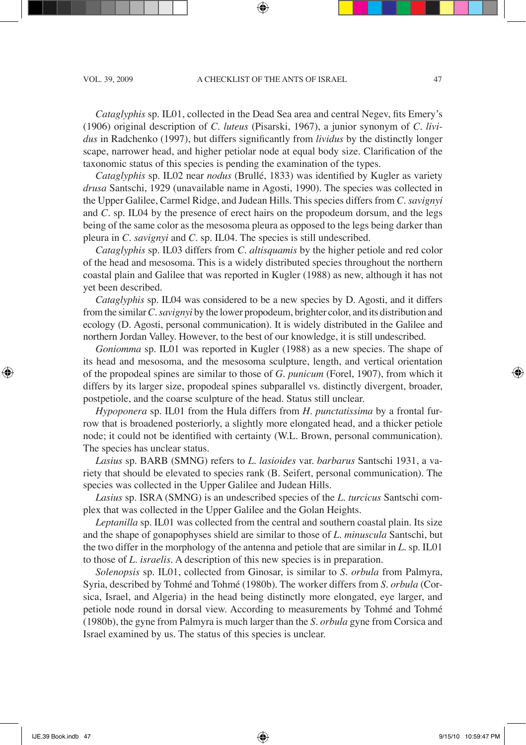*Cataglyphis* sp. IL01, collected in the Dead Sea area and central Negev, fits Emery's (1906) original description of *C. luteus* (Pisarski, 1967), a junior synonym of *C. lividus* in Radchenko (1997), but differs significantly from *lividus* by the distinctly longer scape, narrower head, and higher petiolar node at equal body size. Clarification of the taxonomic status of this species is pending the examination of the types.

*Cataglyphis* sp. IL02 near *nodus* (Brullé, 1833) was identified by Kugler as variety *drusa* Santschi, 1929 (unavailable name in Agosti, 1990). The species was collected in the Upper Galilee, Carmel Ridge, and Judean Hills. This species differs from *C. savignyi* and *C*. sp. IL04 by the presence of erect hairs on the propodeum dorsum, and the legs being of the same color as the mesosoma pleura as opposed to the legs being darker than pleura in *C. savignyi* and *C*. sp. IL04. The species is still undescribed.

*Cataglyphis* sp. IL03 differs from *C. altisquamis* by the higher petiole and red color of the head and mesosoma. This is a widely distributed species throughout the northern coastal plain and Galilee that was reported in Kugler (1988) as new, although it has not yet been described.

*Cataglyphis* sp. IL04 was considered to be a new species by D. Agosti, and it differs from the similar *C.savignyi* by the lower propodeum, brighter color, and its distribution and ecology (D. Agosti, personal communication). It is widely distributed in the Galilee and northern Jordan Valley. However, to the best of our knowledge, it is still undescribed.

*Goniomma* sp. IL01 was reported in Kugler (1988) as a new species. The shape of its head and mesosoma, and the mesosoma sculpture, length, and vertical orientation of the propodeal spines are similar to those of *G*. *punicum* (Forel, 1907), from which it differs by its larger size, propodeal spines subparallel vs. distinctly divergent, broader, postpetiole, and the coarse sculpture of the head. Status still unclear.

*Hypoponera* sp. IL01 from the Hula differs from *H. punctatissima* by a frontal furrow that is broadened posteriorly, a slightly more elongated head, and a thicker petiole node; it could not be identified with certainty (W.L. Brown, personal communication). The species has unclear status.

*Lasius* sp. BARB (SMNG) refers to *L. lasioides* var. *barbarus* Santschi 1931, a variety that should be elevated to species rank (B. Seifert, personal communication). The species was collected in the Upper Galilee and Judean Hills.

*Lasius* sp. ISRA (SMNG) is an undescribed species of the *L*. *turcicus* Santschi complex that was collected in the Upper Galilee and the Golan Heights.

*Leptanilla* sp. IL01 was collected from the central and southern coastal plain. Its size and the shape of gonapophyses shield are similar to those of *L. minuscula* Santschi, but the two differ in the morphology of the antenna and petiole that are similar in *L*. sp. IL01 to those of *L. israelis*. A description of this new species is in preparation.

*Solenopsis* sp. IL01, collected from Ginosar, is similar to *S*. *orbula* from Palmyra, Syria, described by Tohmé and Tohmé (1980b). The worker differs from *S*. *orbula* (Corsica, Israel, and Algeria) in the head being distinctly more elongated, eye larger, and petiole node round in dorsal view. According to measurements by Tohmé and Tohmé (1980b), the gyne from Palmyra is much larger than the *S*. *orbula* gyne from Corsica and Israel examined by us. The status of this species is unclear.

◈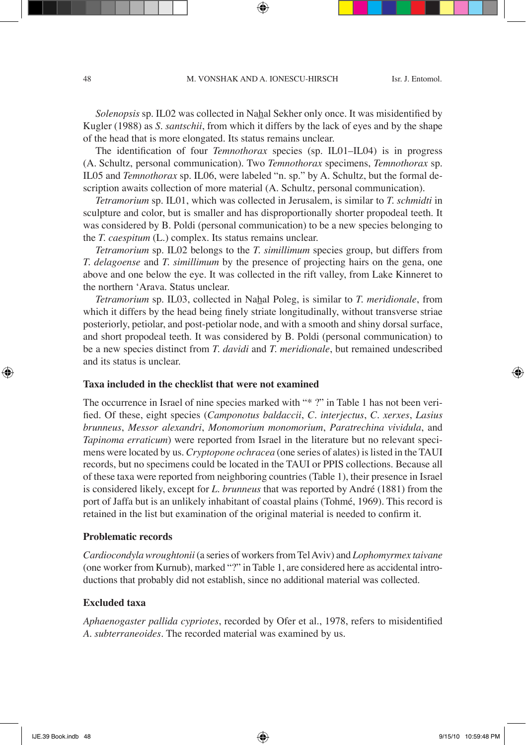*Solenopsis* sp. IL02 was collected in Nahal Sekher only once. It was misidentified by Kugler (1988) as *S. santschii*, from which it differs by the lack of eyes and by the shape of the head that is more elongated. Its status remains unclear.

The identification of four *Temnothorax* species (sp. IL01–IL04) is in progress (A. Schultz, personal communication). Two *Temnothorax* specimens, *Temnothorax* sp. IL05 and *Temnothorax* sp. IL06, were labeled "n. sp." by A. Schultz, but the formal description awaits collection of more material (A. Schultz, personal communication).

*Tetramorium* sp. IL01, which was collected in Jerusalem, is similar to *T. schmidti* in sculpture and color, but is smaller and has disproportionally shorter propodeal teeth. It was considered by B. Poldi (personal communication) to be a new species belonging to the *T. caespitum* (L.) complex. Its status remains unclear.

*Tetramorium* sp. IL02 belongs to the *T. simillimum* species group, but differs from *T. delagoense* and *T. simillimum* by the presence of projecting hairs on the gena, one above and one below the eye. It was collected in the rift valley, from Lake Kinneret to the northern 'Arava. Status unclear.

*Tetramorium* sp. IL03, collected in Nahal Poleg, is similar to *T. meridionale*, from which it differs by the head being finely striate longitudinally, without transverse striae posteriorly, petiolar, and post-petiolar node, and with a smooth and shiny dorsal surface, and short propodeal teeth. It was considered by B. Poldi (personal communication) to be a new species distinct from *T. davidi* and *T. meridionale*, but remained undescribed and its status is unclear.

## **Taxa included in the checklist that were not examined**

The occurrence in Israel of nine species marked with "\* ?" in Table 1 has not been verified. Of these, eight species (*Camponotus baldaccii*, *C. interjectus*, *C. xerxes*, *Lasius brunneus*, *Messor alexandri*, *Monomorium monomorium*, *Paratrechina vividula*, and *Tapinoma erraticum*) were reported from Israel in the literature but no relevant specimens were located by us. *Cryptopone ochracea* (one series of alates) is listed in the TAUI records, but no specimens could be located in the TAUI or PPIS collections. Because all of these taxa were reported from neighboring countries (Table 1), their presence in Israel is considered likely, except for *L. brunneus* that was reported by André (1881) from the port of Jaffa but is an unlikely inhabitant of coastal plains (Tohmé, 1969). This record is retained in the list but examination of the original material is needed to confirm it.

## **Problematic records**

*Cardiocondyla wroughtonii* (a series of workers from Tel Aviv) and *Lophomyrmex taivane* (one worker from Kurnub), marked "?" in Table 1, are considered here as accidental introductions that probably did not establish, since no additional material was collected.

## **Excluded taxa**

*Aphaenogaster pallida cypriotes*, recorded by Ofer et al., 1978, refers to misidentified *A*. *subterraneoides*. The recorded material was examined by us.

◈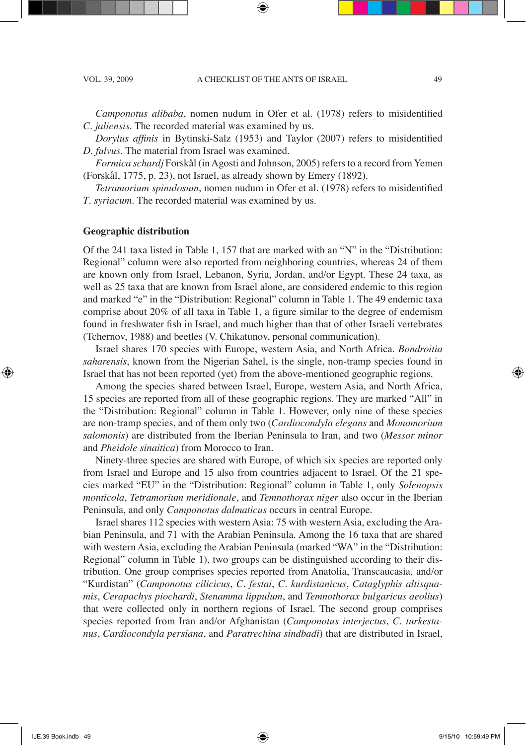*Camponotus alibaba*, nomen nudum in Ofer et al. (1978) refers to misidentified *C*. *jaliensis*. The recorded material was examined by us.

*Dorylus affinis* in Bytinski-Salz (1953) and Taylor (2007) refers to misidentified *D*. *fulvus*. The material from Israel was examined.

*Formica schardj* Forskål (in Agosti and Johnson, 2005) refers to a record from Yemen (Forskål, 1775, p. 23), not Israel, as already shown by Emery (1892).

*Tetramorium spinulosum*, nomen nudum in Ofer et al. (1978) refers to misidentified *T*. *syriacum*. The recorded material was examined by us.

# **Geographic distribution**

Of the 241 taxa listed in Table 1, 157 that are marked with an "N" in the "Distribution: Regional" column were also reported from neighboring countries, whereas 24 of them are known only from Israel, Lebanon, Syria, Jordan, and/or Egypt. These 24 taxa, as well as 25 taxa that are known from Israel alone, are considered endemic to this region and marked "e" in the "Distribution: Regional" column in Table 1. The 49 endemic taxa comprise about 20% of all taxa in Table 1, a figure similar to the degree of endemism found in freshwater fish in Israel, and much higher than that of other Israeli vertebrates (Tchernov, 1988) and beetles (V. Chikatunov, personal communication).

Israel shares 170 species with Europe, western Asia, and North Africa. *Bondroitia saharensis*, known from the Nigerian Sahel, is the single, non-tramp species found in Israel that has not been reported (yet) from the above-mentioned geographic regions.

Among the species shared between Israel, Europe, western Asia, and North Africa, 15 species are reported from all of these geographic regions. They are marked "All" in the "Distribution: Regional" column in Table 1. However, only nine of these species are non-tramp species, and of them only two (*Cardiocondyla elegans* and *Monomorium salomonis*) are distributed from the Iberian Peninsula to Iran, and two (*Messor minor* and *Pheidole sinaitica*) from Morocco to Iran.

Ninety-three species are shared with Europe, of which six species are reported only from Israel and Europe and 15 also from countries adjacent to Israel. Of the 21 species marked "EU" in the "Distribution: Regional" column in Table 1, only *Solenopsis monticola*, *Tetramorium meridionale*, and *Temnothorax niger* also occur in the Iberian Peninsula, and only *Camponotus dalmaticus* occurs in central Europe.

Israel shares 112 species with western Asia: 75 with western Asia, excluding the Arabian Peninsula, and 71 with the Arabian Peninsula. Among the 16 taxa that are shared with western Asia, excluding the Arabian Peninsula (marked "WA" in the "Distribution: Regional" column in Table 1), two groups can be distinguished according to their distribution. One group comprises species reported from Anatolia, Transcaucasia, and/or "Kurdistan" (*Camponotus cilicicus*, *C. festai*, *C. kurdistanicus*, *Cataglyphis altisquamis*, *Cerapachys piochardi*, *Stenamma lippulum*, and *Temnothorax bulgaricus aeolius*) that were collected only in northern regions of Israel. The second group comprises species reported from Iran and/or Afghanistan (*Camponotus interjectus*, *C. turkestanus*, *Cardiocondyla persiana*, and *Paratrechina sindbadi*) that are distributed in Israel,

◈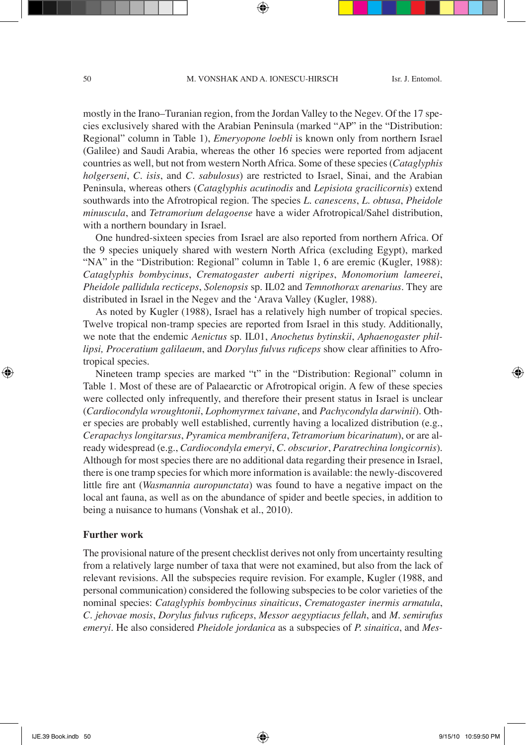mostly in the Irano–Turanian region, from the Jordan Valley to the Negev. Of the 17 species exclusively shared with the Arabian Peninsula (marked "AP" in the "Distribution: Regional" column in Table 1), *Emeryopone loebli* is known only from northern Israel (Galilee) and Saudi Arabia, whereas the other 16 species were reported from adjacent countries as well, but not from western North Africa. Some of these species (*Cataglyphis holgerseni*, *C. isis*, and *C. sabulosus*) are restricted to Israel, Sinai, and the Arabian Peninsula, whereas others (*Cataglyphis acutinodis* and *Lepisiota gracilicornis*) extend southwards into the Afrotropical region. The species *L. canescens*, *L. obtusa*, *Pheidole minuscula*, and *Tetramorium delagoense* have a wider Afrotropical/Sahel distribution, with a northern boundary in Israel.

One hundred-sixteen species from Israel are also reported from northern Africa. Of the 9 species uniquely shared with western North Africa (excluding Egypt), marked "NA" in the "Distribution: Regional" column in Table 1, 6 are eremic (Kugler, 1988): *Cataglyphis bombycinus*, *Crematogaster auberti nigripes*, *Monomorium lameerei*, *Pheidole pallidula recticeps*, *Solenopsis* sp. IL02 and *Temnothorax arenarius*. They are distributed in Israel in the Negev and the 'Arava Valley (Kugler, 1988).

As noted by Kugler (1988), Israel has a relatively high number of tropical species. Twelve tropical non-tramp species are reported from Israel in this study. Additionally, we note that the endemic *Aenictus* sp. IL01, *Anochetus bytinskii*, *Aphaenogaster phillipsi, Proceratium galilaeum*, and *Dorylus fulvus ruficeps* show clear affinities to Afrotropical species.

Nineteen tramp species are marked "t" in the "Distribution: Regional" column in Table 1. Most of these are of Palaearctic or Afrotropical origin. A few of these species were collected only infrequently, and therefore their present status in Israel is unclear (*Cardiocondyla wroughtonii*, *Lophomyrmex taivane*, and *Pachycondyla darwinii*). Other species are probably well established, currently having a localized distribution (e.g., *Cerapachys longitarsus*, *Pyramica membranifera*, *Tetramorium bicarinatum*), or are already widespread (e.g., *Cardiocondyla emeryi*, *C. obscurior*, *Paratrechina longicornis*). Although for most species there are no additional data regarding their presence in Israel, there is one tramp species for which more information is available: the newly-discovered little fire ant (*Wasmannia auropunctata*) was found to have a negative impact on the local ant fauna, as well as on the abundance of spider and beetle species, in addition to being a nuisance to humans (Vonshak et al., 2010).

## **Further work**

The provisional nature of the present checklist derives not only from uncertainty resulting from a relatively large number of taxa that were not examined, but also from the lack of relevant revisions. All the subspecies require revision. For example, Kugler (1988, and personal communication) considered the following subspecies to be color varieties of the nominal species: *Cataglyphis bombycinus sinaiticus*, *Crematogaster inermis armatula*, *C. jehovae mosis*, *Dorylus fulvus ruficeps*, *Messor aegyptiacus fellah*, and *M. semirufus emeryi*. He also considered *Pheidole jordanica* as a subspecies of *P. sinaitica*, and *Mes-*

◈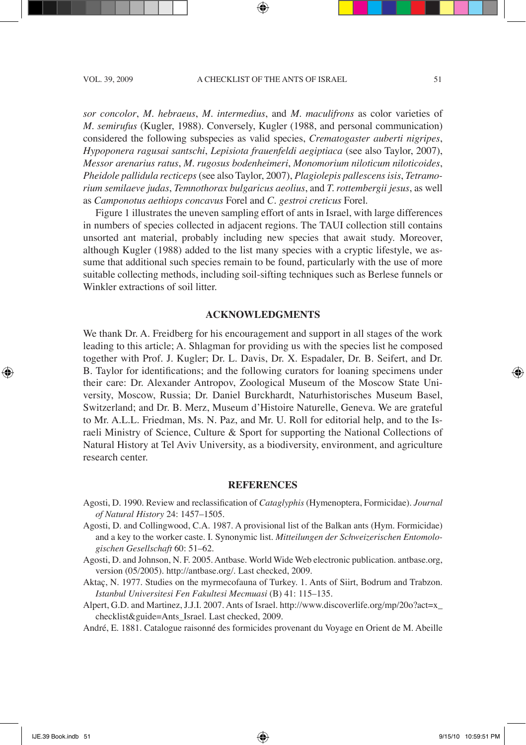#### VOL. 39, 2009 **a** checklist of the ants of israel 51

*sor concolor*, *M*. *hebraeus*, *M*. *intermedius*, and *M*. *maculifrons* as color varieties of *M*. *semirufus* (Kugler, 1988). Conversely, Kugler (1988, and personal communication) considered the following subspecies as valid species, *Crematogaster auberti nigripes*, *Hypoponera ragusai santschi*, *Lepisiota frauenfeldi aegiptiaca* (see also Taylor, 2007), *Messor arenarius ratus*, *M*. *rugosus bodenheimeri*, *Monomorium niloticum niloticoides*, *Pheidole pallidula recticeps* (see also Taylor, 2007), *Plagiolepis pallescens isis*, *Tetramorium semilaeve judas*, *Temnothorax bulgaricus aeolius*, and *T. rottembergii jesus*, as well as *Camponotus aethiops concavus* Forel and *C*. *gestroi creticus* Forel.

Figure 1 illustrates the uneven sampling effort of ants in Israel, with large differences in numbers of species collected in adjacent regions. The TAUI collection still contains unsorted ant material, probably including new species that await study. Moreover, although Kugler (1988) added to the list many species with a cryptic lifestyle, we assume that additional such species remain to be found, particularly with the use of more suitable collecting methods, including soil-sifting techniques such as Berlese funnels or Winkler extractions of soil litter.

# **Acknowledgments**

We thank Dr. A. Freidberg for his encouragement and support in all stages of the work leading to this article; A. Shlagman for providing us with the species list he composed together with Prof. J. Kugler; Dr. L. Davis, Dr. X. Espadaler, Dr. B. Seifert, and Dr. B. Taylor for identifications; and the following curators for loaning specimens under their care: Dr. Alexander Antropov, Zoological Museum of the Moscow State University, Moscow, Russia; Dr. Daniel Burckhardt, Naturhistorisches Museum Basel, Switzerland; and Dr. B. Merz, Museum d'Histoire Naturelle, Geneva. We are grateful to Mr. A.L.L. Friedman, Ms. N. Paz, and Mr. U. Roll for editorial help, and to the Israeli Ministry of Science, Culture & Sport for supporting the National Collections of Natural History at Tel Aviv University, as a biodiversity, environment, and agriculture research center.

## **References**

- Agosti, D. 1990. Review and reclassification of *Cataglyphis* (Hymenoptera, Formicidae). *Journal of Natural History* 24: 1457–1505.
- Agosti, D. and Collingwood, C.A. 1987. A provisional list of the Balkan ants (Hym. Formicidae) and a key to the worker caste. I. Synonymic list. *Mitteilungen der Schweizerischen Entomologischen Gesellschaft* 60: 51–62.
- Agosti, D. and Johnson, N. F. 2005. Antbase. World Wide Web electronic publication. antbase.org, version (05/2005). http://antbase.org/. Last checked, 2009.
- Aktaç, N. 1977. Studies on the myrmecofauna of Turkey. 1. Ants of Siirt, Bodrum and Trabzon. *Istanbul Universitesi Fen Fakultesi Mecmuasi* (B) 41: 115–135.
- Alpert, G.D. and Martinez, J.J.I. 2007. Ants of Israel. http://www.discoverlife.org/mp/20o?act=x\_ checklist&guide=Ants\_Israel. Last checked, 2009.

André, E. 1881. Catalogue raisonné des formicides provenant du Voyage en Orient de M. Abeille

◈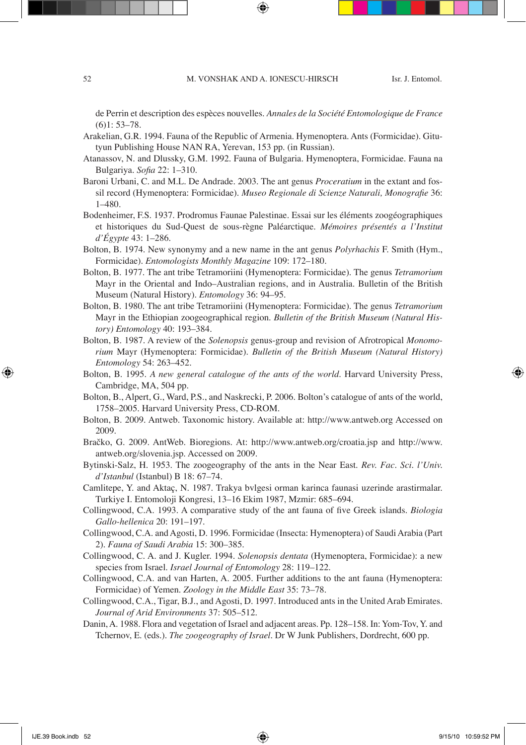de Perrin et description des espèces nouvelles. *Annales de la Société Entomologique de France* (6)1: 53–78.

Arakelian, G.R. 1994. Fauna of the Republic of Armenia. Hymenoptera. Ants (Formicidae). Gitutyun Publishing House NAN RA, Yerevan, 153 pp. (in Russian).

- Atanassov, N. and Dlussky, G.M. 1992. Fauna of Bulgaria. Hymenoptera, Formicidae. Fauna na Bulgariya. *Sofia* 22: 1–310.
- Baroni Urbani, C. and M.L. De Andrade. 2003. The ant genus *Proceratium* in the extant and fossil record (Hymenoptera: Formicidae). *Museo Regionale di Scienze Naturali, Monografie* 36: 1–480.
- Bodenheimer, F.S. 1937. Prodromus Faunae Palestinae. Essai sur les éléments zoogéographiques et historiques du Sud-Quest de sous-règne Paléarctique. *Mémoires présentés a l'Institut d'égypte* 43: 1–286.
- Bolton, B. 1974. New synonymy and a new name in the ant genus *Polyrhachis* F. Smith (Hym., Formicidae). *Entomologists Monthly Magazine* 109: 172–180.
- Bolton, B. 1977. The ant tribe Tetramoriini (Hymenoptera: Formicidae). The genus *Tetramorium* Mayr in the Oriental and Indo–Australian regions, and in Australia. Bulletin of the British Museum (Natural History). *Entomology* 36: 94–95.
- Bolton, B. 1980. The ant tribe Tetramoriini (Hymenoptera: Formicidae). The genus *Tetramorium* Mayr in the Ethiopian zoogeographical region. *Bulletin of the British Museum (Natural History) Entomology* 40: 193–384.
- Bolton, B. 1987. A review of the *Solenopsis* genus-group and revision of Afrotropical *Monomorium* Mayr (Hymenoptera: Formicidae). *Bulletin of the British Museum (Natural History) Entomology* 54: 263–452.
- Bolton, B. 1995. *A new general catalogue of the ants of the world*. Harvard University Press, Cambridge, MA, 504 pp.
- Bolton, B., Alpert, G., Ward, P.S., and Naskrecki, P. 2006. Bolton's catalogue of ants of the world, 1758–2005. Harvard University Press, CD-ROM.
- Bolton, B. 2009. Antweb. Taxonomic history. Available at: http://www.antweb.org Accessed on 2009.
- Bračko, G. 2009. AntWeb. Bioregions. At: http://www.antweb.org/croatia.jsp and http://www. antweb.org/slovenia.jsp. Accessed on 2009.
- Bytinski-Salz, H. 1953. The zoogeography of the ants in the Near East. *Rev. Fac. Sci. l'Univ. d'Istanbul* (Istanbul) B 18: 67–74.
- Camlitepe, Y. and Aktaç, N. 1987. Trakya bvlgesi orman karinca faunasi uzerinde arastirmalar. Turkiye I. Entomoloji Kongresi, 13–16 Ekim 1987, Mzmir: 685–694.
- Collingwood, C.A. 1993. A comparative study of the ant fauna of five Greek islands. *Biologia Gallo-hellenica* 20: 191–197.
- Collingwood, C.A. and Agosti, D. 1996. Formicidae (Insecta: Hymenoptera) of Saudi Arabia (Part 2). *Fauna of Saudi Arabia* 15: 300–385.
- Collingwood, C. A. and J. Kugler. 1994. *Solenopsis dentata* (Hymenoptera, Formicidae): a new species from Israel. *Israel Journal of Entomology* 28: 119–122.
- Collingwood, C.A. and van Harten, A. 2005. Further additions to the ant fauna (Hymenoptera: Formicidae) of Yemen. *Zoology in the Middle East* 35: 73–78.
- Collingwood, C.A., Tigar, B.J., and Agosti, D. 1997. Introduced ants in the United Arab Emirates. *Journal of Arid Environments* 37: 505–512.
- Danin, A. 1988. Flora and vegetation of Israel and adjacent areas. Pp. 128–158. In: Yom-Tov, Y. and Tchernov, E. (eds.). *The zoogeography of Israel*. Dr W Junk Publishers, Dordrecht, 600 pp.

◈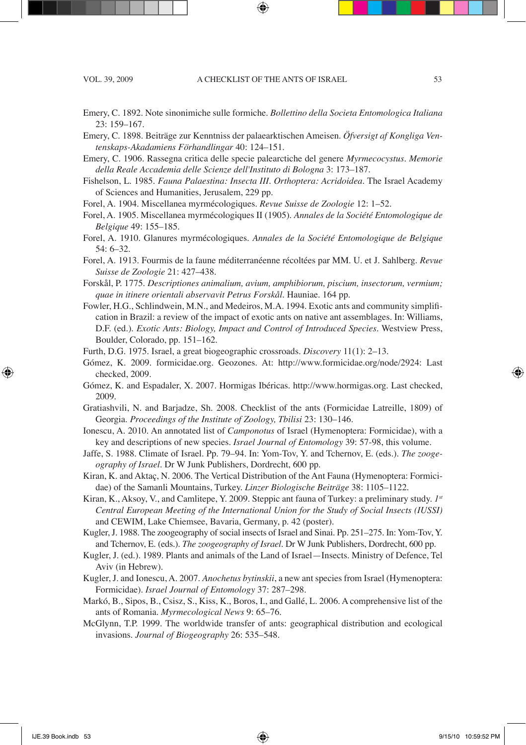Emery, C. 1892. Note sinonimiche sulle formiche. *Bollettino della Societa Entomologica Italiana* 23: 159–167.

Emery, C. 1898. Beiträge zur Kenntniss der palaearktischen Ameisen. *Öfversigt af Kongliga Ventenskaps-Akadamiens Förhandlingar* 40: 124–151.

- Emery, C. 1906. Rassegna critica delle specie palearctiche del genere *Myrmecocystus*. *Memorie della Reale Accademia delle Scienze dell'Instituto di Bologna* 3: 173–187.
- Fishelson, L. 1985. *Fauna Palaestina: Insecta III. Orthoptera: Acridoidea*. The Israel Academy of Sciences and Humanities, Jerusalem, 229 pp.

Forel, A. 1904. Miscellanea myrmécologiques. *Revue Suisse de Zoologie* 12: 1–52.

- Forel, A. 1905. Miscellanea myrmécologiques II (1905). *Annales de la Société Entomologique de Belgique* 49: 155–185.
- Forel, A. 1910. Glanures myrmécologiques. *Annales de la Société Entomologique de Belgique* 54: 6–32.
- Forel, A. 1913. Fourmis de la faune méditerranéenne récoltées par MM. U. et J. Sahlberg. *Revue Suisse de Zoologie* 21: 427–438.

Forskål, P. 1775. *Descriptiones animalium, avium, amphibiorum, piscium, insectorum, vermium; quae in itinere orientali abservavit Petrus Forskål*. Hauniae. 164 pp.

Fowler, H.G., Schlindwein, M.N., and Medeiros, M.A. 1994. Exotic ants and community simplification in Brazil: a review of the impact of exotic ants on native ant assemblages. In: Williams, D.F. (ed.). *Exotic Ants: Biology, Impact and Control of Introduced Species*. Westview Press, Boulder, Colorado, pp. 151–162.

Furth, D.G. 1975. Israel, a great biogeographic crossroads. *Discovery* 11(1): 2–13.

- Gómez, K. 2009. formicidae.org. Geozones. At: http://www.formicidae.org/node/2924: Last checked, 2009.
- Gómez, K. and Espadaler, X. 2007. Hormigas Ibéricas. http://www.hormigas.org. Last checked, 2009.
- Gratiashvili, N. and Barjadze, Sh. 2008. Checklist of the ants (Formicidae Latreille, 1809) of Georgia. *Proceedings of the Institute of Zoology, Tbilisi* 23: 130–146.
- Ionescu, A. 2010. An annotated list of *Camponotus* of Israel (Hymenoptera: Formicidae), with a key and descriptions of new species. *Israel Journal of Entomology* 39: 57-98, this volume.
- Jaffe, S. 1988. Climate of Israel. Pp. 79–94. In: Yom-Tov, Y. and Tchernov, E. (eds.). *The zoogeography of Israel*. Dr W Junk Publishers, Dordrecht, 600 pp.

Kiran, K. and Aktaç, N. 2006. The Vertical Distribution of the Ant Fauna (Hymenoptera: Formicidae) of the Samanli Mountains, Turkey. *Linzer Biologische Beiträge* 38: 1105–1122.

Kiran, K., Aksoy, V., and Camlitepe, Y. 2009. Steppic ant fauna of Turkey: a preliminary study. *1st Central European Meeting of the International Union for the Study of Social Insects (IUSSI)* and CEWIM, Lake Chiemsee, Bavaria, Germany, p. 42 (poster).

Kugler, J. 1988. The zoogeography of social insects of Israel and Sinai. Pp. 251–275. In: Yom-Tov, Y. and Tchernov, E. (eds.). *The zoogeography of Israel*. Dr W Junk Publishers, Dordrecht, 600 pp.

- Kugler, J. (ed.). 1989. Plants and animals of the Land of Israel—Insects. Ministry of Defence, Tel Aviv (in Hebrew).
- Kugler, J. and Ionescu, A. 2007. *Anochetus bytinskii*, a new ant species from Israel (Hymenoptera: Formicidae). *Israel Journal of Entomology* 37: 287–298.
- Markó, B., Sipos, B., Csisz, S., Kiss, K., Boros, I., and Gallé, L. 2006. A comprehensive list of the ants of Romania. *Myrmecological News* 9: 65–76.
- McGlynn, T.P. 1999. The worldwide transfer of ants: geographical distribution and ecological invasions. *Journal of Biogeography* 26: 535–548.

◈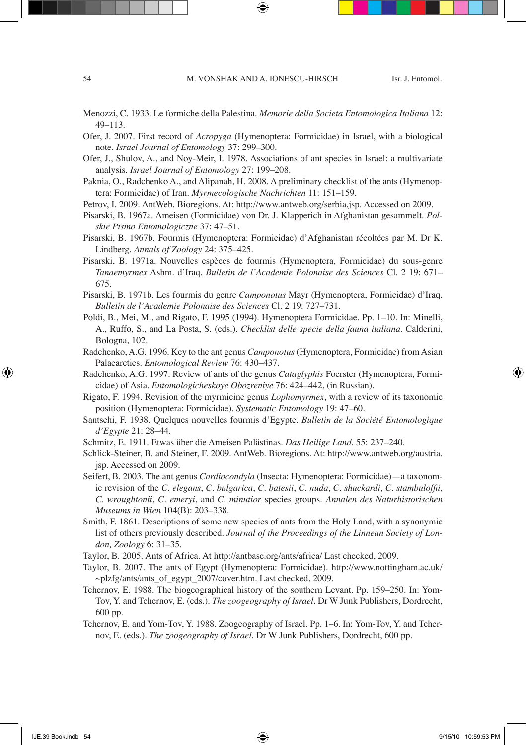Menozzi, C. 1933. Le formiche della Palestina. *Memorie della Societa Entomologica Italiana* 12: 49–113.

Ofer, J. 2007. First record of *Acropyga* (Hymenoptera: Formicidae) in Israel, with a biological note. *Israel Journal of Entomology* 37: 299–300.

Ofer, J., Shulov, A., and Noy-Meir, I. 1978. Associations of ant species in Israel: a multivariate analysis. *Israel Journal of Entomology* 27: 199–208.

Paknia, O., Radchenko A., and Alipanah, H. 2008. A preliminary checklist of the ants (Hymenoptera: Formicidae) of Iran. *Myrmecologische Nachrichten* 11: 151–159.

Petrov, I. 2009. AntWeb. Bioregions. At: http://www.antweb.org/serbia.jsp. Accessed on 2009.

Pisarski, B. 1967a. Ameisen (Formicidae) von Dr. J. Klapperich in Afghanistan gesammelt. *Polskie Pismo Entomologiczne* 37: 47–51.

Pisarski, B. 1967b. Fourmis (Hymenoptera: Formicidae) d'Afghanistan récoltées par M. Dr K. Lindberg. *Annals of Zoology* 24: 375–425.

Pisarski, B. 1971a. Nouvelles espèces de fourmis (Hymenoptera, Formicidae) du sous-genre *Tanaemyrmex* Ashm. d'Iraq. *Bulletin de l'Academie Polonaise des Sciences* Cl. 2 19: 671– 675.

Pisarski, B. 1971b. Les fourmis du genre *Camponotus* Mayr (Hymenoptera, Formicidae) d'Iraq. *Bulletin de l'Academie Polonaise des Sciences* Cl. 2 19: 727–731.

Poldi, B., Mei, M., and Rigato, F. 1995 (1994). Hymenoptera Formicidae. Pp. 1–10. In: Minelli, A., Ruffo, S., and La Posta, S. (eds.). *Checklist delle specie della fauna italiana*. Calderini, Bologna, 102.

Radchenko, A.G. 1996. Key to the ant genus *Camponotus* (Hymenoptera, Formicidae) from Asian Palaearctics. *Entomological Review* 76: 430–437.

Radchenko, A.G. 1997. Review of ants of the genus *Cataglyphis* Foerster (Hymenoptera, Formicidae) of Asia. *Entomologicheskoye Obozreniye* 76: 424–442, (in Russian).

Rigato, F. 1994. Revision of the myrmicine genus *Lophomyrmex*, with a review of its taxonomic position (Hymenoptera: Formicidae). *Systematic Entomology* 19: 47–60.

Santschi, F. 1938. Quelques nouvelles fourmis d'Egypte. *Bulletin de la Société Entomologique d'Egypte* 21: 28–44.

Schmitz, E. 1911. Etwas über die Ameisen Palästinas. *Das Heilige Land*. 55: 237–240.

Schlick-Steiner, B. and Steiner, F. 2009. AntWeb. Bioregions. At: http://www.antweb.org/austria. jsp. Accessed on 2009.

Seifert, B. 2003. The ant genus *Cardiocondyla* (Insecta: Hymenoptera: Formicidae)—a taxonomic revision of the *C. elegans*, *C. bulgarica*, *C. batesii*, *C. nuda*, *C. shuckardi*, *C. stambuloffii*, *C. wroughtonii*, *C. emeryi*, and *C. minutior* species groups. *Annalen des Naturhistorischen Museums in Wien* 104(B): 203–338.

Smith, F. 1861. Descriptions of some new species of ants from the Holy Land, with a synonymic list of others previously described. *Journal of the Proceedings of the Linnean Society of London, Zoology* 6: 31–35.

Taylor, B. 2005. Ants of Africa. At http://antbase.org/ants/africa/ Last checked, 2009.

Taylor, B. 2007. The ants of Egypt (Hymenoptera: Formicidae). http://www.nottingham.ac.uk/ ~plzfg/ants/ants\_of\_egypt\_2007/cover.htm. Last checked, 2009.

Tchernov, E. 1988. The biogeographical history of the southern Levant. Pp. 159–250. In: Yom-Tov, Y. and Tchernov, E. (eds.). *The zoogeography of Israel*. Dr W Junk Publishers, Dordrecht, 600 pp.

Tchernov, E. and Yom-Tov, Y. 1988. Zoogeography of Israel. Pp. 1–6. In: Yom-Tov, Y. and Tchernov, E. (eds.). *The zoogeography of Israel*. Dr W Junk Publishers, Dordrecht, 600 pp.

◈